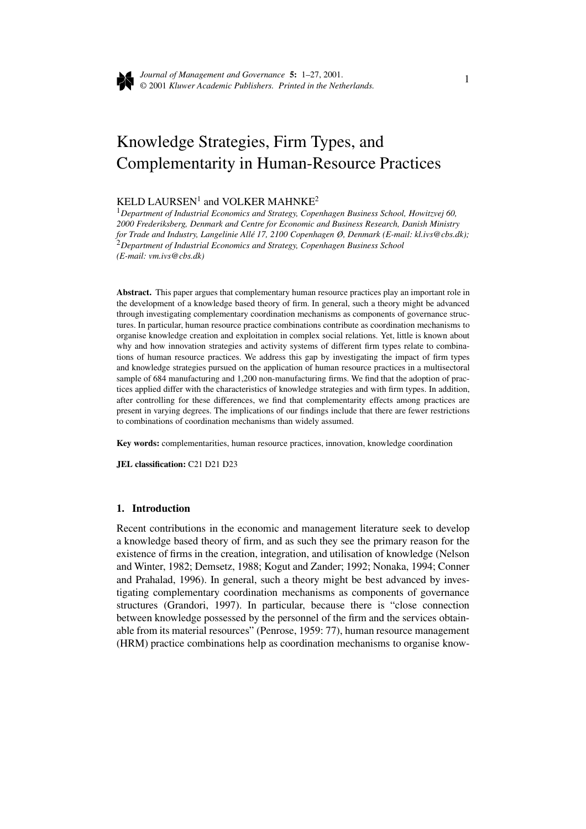

# Knowledge Strategies, Firm Types, and Complementarity in Human-Resource Practices

## $KELD$  LAURSEN<sup>1</sup> and VOLKER MAHNKE<sup>2</sup>

<sup>1</sup>*Department of Industrial Economics and Strategy, Copenhagen Business School, Howitzvej 60, 2000 Frederiksberg, Denmark and Centre for Economic and Business Research, Danish Ministry for Trade and Industry, Langelinie Allé 17, 2100 Copenhagen Ø, Denmark (E-mail: kl.ivs@cbs.dk);* <sup>2</sup>*Department of Industrial Economics and Strategy, Copenhagen Business School (E-mail: vm.ivs@cbs.dk)*

**Abstract.** This paper argues that complementary human resource practices play an important role in the development of a knowledge based theory of firm. In general, such a theory might be advanced through investigating complementary coordination mechanisms as components of governance structures. In particular, human resource practice combinations contribute as coordination mechanisms to organise knowledge creation and exploitation in complex social relations. Yet, little is known about why and how innovation strategies and activity systems of different firm types relate to combinations of human resource practices. We address this gap by investigating the impact of firm types and knowledge strategies pursued on the application of human resource practices in a multisectoral sample of 684 manufacturing and 1,200 non-manufacturing firms. We find that the adoption of practices applied differ with the characteristics of knowledge strategies and with firm types. In addition, after controlling for these differences, we find that complementarity effects among practices are present in varying degrees. The implications of our findings include that there are fewer restrictions to combinations of coordination mechanisms than widely assumed.

**Key words:** complementarities, human resource practices, innovation, knowledge coordination

**JEL classification:** C21 D21 D23

#### **1. Introduction**

Recent contributions in the economic and management literature seek to develop a knowledge based theory of firm, and as such they see the primary reason for the existence of firms in the creation, integration, and utilisation of knowledge (Nelson and Winter, 1982; Demsetz, 1988; Kogut and Zander; 1992; Nonaka, 1994; Conner and Prahalad, 1996). In general, such a theory might be best advanced by investigating complementary coordination mechanisms as components of governance structures (Grandori, 1997). In particular, because there is "close connection between knowledge possessed by the personnel of the firm and the services obtainable from its material resources" (Penrose, 1959: 77), human resource management (HRM) practice combinations help as coordination mechanisms to organise know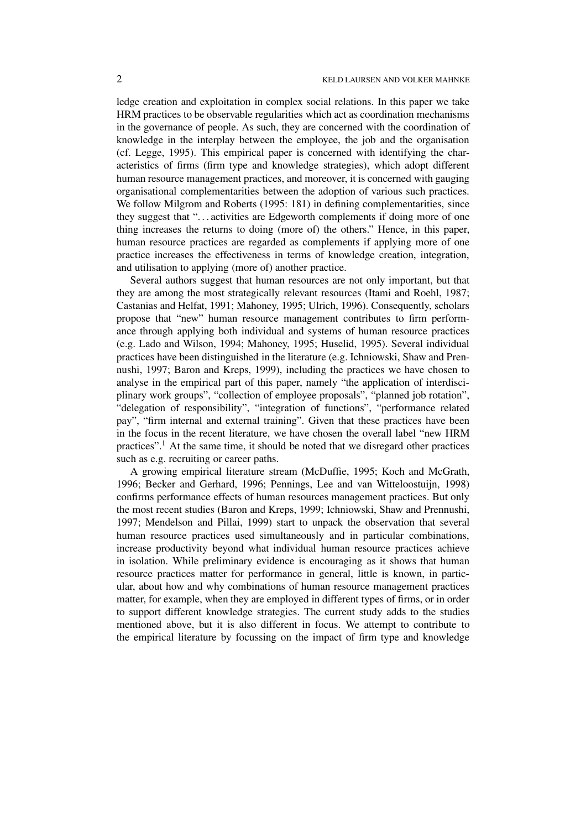ledge creation and exploitation in complex social relations. In this paper we take HRM practices to be observable regularities which act as coordination mechanisms in the governance of people. As such, they are concerned with the coordination of knowledge in the interplay between the employee, the job and the organisation (cf. Legge, 1995). This empirical paper is concerned with identifying the characteristics of firms (firm type and knowledge strategies), which adopt different human resource management practices, and moreover, it is concerned with gauging organisational complementarities between the adoption of various such practices. We follow Milgrom and Roberts (1995: 181) in defining complementarities, since they suggest that ". . . activities are Edgeworth complements if doing more of one thing increases the returns to doing (more of) the others." Hence, in this paper, human resource practices are regarded as complements if applying more of one practice increases the effectiveness in terms of knowledge creation, integration, and utilisation to applying (more of) another practice.

Several authors suggest that human resources are not only important, but that they are among the most strategically relevant resources (Itami and Roehl, 1987; Castanias and Helfat, 1991; Mahoney, 1995; Ulrich, 1996). Consequently, scholars propose that "new" human resource management contributes to firm performance through applying both individual and systems of human resource practices (e.g. Lado and Wilson, 1994; Mahoney, 1995; Huselid, 1995). Several individual practices have been distinguished in the literature (e.g. Ichniowski, Shaw and Prennushi, 1997; Baron and Kreps, 1999), including the practices we have chosen to analyse in the empirical part of this paper, namely "the application of interdisciplinary work groups", "collection of employee proposals", "planned job rotation", "delegation of responsibility", "integration of functions", "performance related pay", "firm internal and external training". Given that these practices have been in the focus in the recent literature, we have chosen the overall label "new HRM practices".<sup>1</sup> At the same time, it should be noted that we disregard other practices such as e.g. recruiting or career paths.

A growing empirical literature stream (McDuffie, 1995; Koch and McGrath, 1996; Becker and Gerhard, 1996; Pennings, Lee and van Witteloostuijn, 1998) confirms performance effects of human resources management practices. But only the most recent studies (Baron and Kreps, 1999; Ichniowski, Shaw and Prennushi, 1997; Mendelson and Pillai, 1999) start to unpack the observation that several human resource practices used simultaneously and in particular combinations, increase productivity beyond what individual human resource practices achieve in isolation. While preliminary evidence is encouraging as it shows that human resource practices matter for performance in general, little is known, in particular, about how and why combinations of human resource management practices matter, for example, when they are employed in different types of firms, or in order to support different knowledge strategies. The current study adds to the studies mentioned above, but it is also different in focus. We attempt to contribute to the empirical literature by focussing on the impact of firm type and knowledge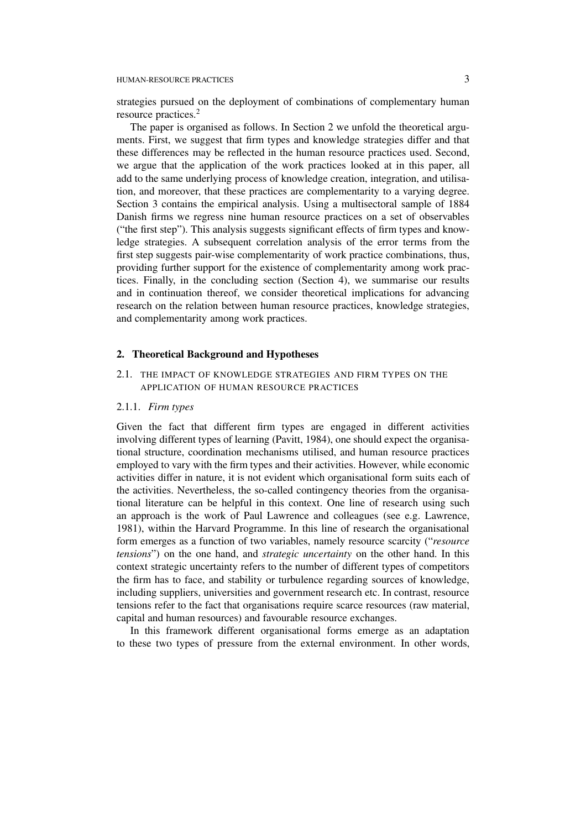strategies pursued on the deployment of combinations of complementary human resource practices.<sup>2</sup>

The paper is organised as follows. In Section 2 we unfold the theoretical arguments. First, we suggest that firm types and knowledge strategies differ and that these differences may be reflected in the human resource practices used. Second, we argue that the application of the work practices looked at in this paper, all add to the same underlying process of knowledge creation, integration, and utilisation, and moreover, that these practices are complementarity to a varying degree. Section 3 contains the empirical analysis. Using a multisectoral sample of 1884 Danish firms we regress nine human resource practices on a set of observables ("the first step"). This analysis suggests significant effects of firm types and knowledge strategies. A subsequent correlation analysis of the error terms from the first step suggests pair-wise complementarity of work practice combinations, thus, providing further support for the existence of complementarity among work practices. Finally, in the concluding section (Section 4), we summarise our results and in continuation thereof, we consider theoretical implications for advancing research on the relation between human resource practices, knowledge strategies, and complementarity among work practices.

## **2. Theoretical Background and Hypotheses**

2.1. THE IMPACT OF KNOWLEDGE STRATEGIES AND FIRM TYPES ON THE APPLICATION OF HUMAN RESOURCE PRACTICES

## 2.1.1. *Firm types*

Given the fact that different firm types are engaged in different activities involving different types of learning (Pavitt, 1984), one should expect the organisational structure, coordination mechanisms utilised, and human resource practices employed to vary with the firm types and their activities. However, while economic activities differ in nature, it is not evident which organisational form suits each of the activities. Nevertheless, the so-called contingency theories from the organisational literature can be helpful in this context. One line of research using such an approach is the work of Paul Lawrence and colleagues (see e.g. Lawrence, 1981), within the Harvard Programme. In this line of research the organisational form emerges as a function of two variables, namely resource scarcity ("*resource tensions*") on the one hand, and *strategic uncertainty* on the other hand. In this context strategic uncertainty refers to the number of different types of competitors the firm has to face, and stability or turbulence regarding sources of knowledge, including suppliers, universities and government research etc. In contrast, resource tensions refer to the fact that organisations require scarce resources (raw material, capital and human resources) and favourable resource exchanges.

In this framework different organisational forms emerge as an adaptation to these two types of pressure from the external environment. In other words,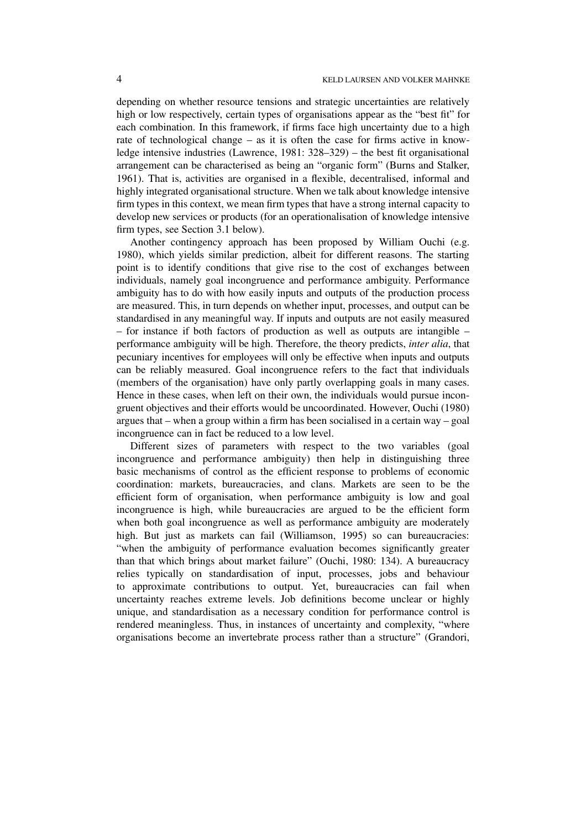depending on whether resource tensions and strategic uncertainties are relatively high or low respectively, certain types of organisations appear as the "best fit" for each combination. In this framework, if firms face high uncertainty due to a high rate of technological change – as it is often the case for firms active in knowledge intensive industries (Lawrence, 1981: 328–329) – the best fit organisational arrangement can be characterised as being an "organic form" (Burns and Stalker, 1961). That is, activities are organised in a flexible, decentralised, informal and highly integrated organisational structure. When we talk about knowledge intensive firm types in this context, we mean firm types that have a strong internal capacity to develop new services or products (for an operationalisation of knowledge intensive firm types, see Section 3.1 below).

Another contingency approach has been proposed by William Ouchi (e.g. 1980), which yields similar prediction, albeit for different reasons. The starting point is to identify conditions that give rise to the cost of exchanges between individuals, namely goal incongruence and performance ambiguity. Performance ambiguity has to do with how easily inputs and outputs of the production process are measured. This, in turn depends on whether input, processes, and output can be standardised in any meaningful way. If inputs and outputs are not easily measured – for instance if both factors of production as well as outputs are intangible – performance ambiguity will be high. Therefore, the theory predicts, *inter alia*, that pecuniary incentives for employees will only be effective when inputs and outputs can be reliably measured. Goal incongruence refers to the fact that individuals (members of the organisation) have only partly overlapping goals in many cases. Hence in these cases, when left on their own, the individuals would pursue incongruent objectives and their efforts would be uncoordinated. However, Ouchi (1980) argues that – when a group within a firm has been socialised in a certain way – goal incongruence can in fact be reduced to a low level.

Different sizes of parameters with respect to the two variables (goal incongruence and performance ambiguity) then help in distinguishing three basic mechanisms of control as the efficient response to problems of economic coordination: markets, bureaucracies, and clans. Markets are seen to be the efficient form of organisation, when performance ambiguity is low and goal incongruence is high, while bureaucracies are argued to be the efficient form when both goal incongruence as well as performance ambiguity are moderately high. But just as markets can fail (Williamson, 1995) so can bureaucracies: "when the ambiguity of performance evaluation becomes significantly greater than that which brings about market failure" (Ouchi, 1980: 134). A bureaucracy relies typically on standardisation of input, processes, jobs and behaviour to approximate contributions to output. Yet, bureaucracies can fail when uncertainty reaches extreme levels. Job definitions become unclear or highly unique, and standardisation as a necessary condition for performance control is rendered meaningless. Thus, in instances of uncertainty and complexity, "where organisations become an invertebrate process rather than a structure" (Grandori,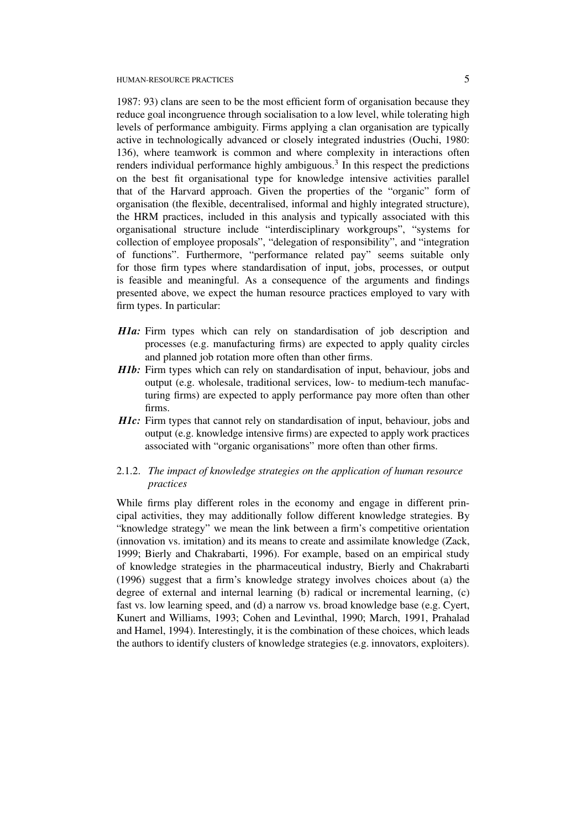1987: 93) clans are seen to be the most efficient form of organisation because they reduce goal incongruence through socialisation to a low level, while tolerating high levels of performance ambiguity. Firms applying a clan organisation are typically active in technologically advanced or closely integrated industries (Ouchi, 1980: 136), where teamwork is common and where complexity in interactions often renders individual performance highly ambiguous.<sup>3</sup> In this respect the predictions on the best fit organisational type for knowledge intensive activities parallel that of the Harvard approach. Given the properties of the "organic" form of organisation (the flexible, decentralised, informal and highly integrated structure), the HRM practices, included in this analysis and typically associated with this organisational structure include "interdisciplinary workgroups", "systems for collection of employee proposals", "delegation of responsibility", and "integration of functions". Furthermore, "performance related pay" seems suitable only for those firm types where standardisation of input, jobs, processes, or output is feasible and meaningful. As a consequence of the arguments and findings presented above, we expect the human resource practices employed to vary with firm types. In particular:

- *H1a:* Firm types which can rely on standardisation of job description and processes (e.g. manufacturing firms) are expected to apply quality circles and planned job rotation more often than other firms.
- *H1b*: Firm types which can rely on standardisation of input, behaviour, jobs and output (e.g. wholesale, traditional services, low- to medium-tech manufacturing firms) are expected to apply performance pay more often than other firms.
- *H1c*: Firm types that cannot rely on standardisation of input, behaviour, jobs and output (e.g. knowledge intensive firms) are expected to apply work practices associated with "organic organisations" more often than other firms.

## 2.1.2. *The impact of knowledge strategies on the application of human resource practices*

While firms play different roles in the economy and engage in different principal activities, they may additionally follow different knowledge strategies. By "knowledge strategy" we mean the link between a firm's competitive orientation (innovation vs. imitation) and its means to create and assimilate knowledge (Zack, 1999; Bierly and Chakrabarti, 1996). For example, based on an empirical study of knowledge strategies in the pharmaceutical industry, Bierly and Chakrabarti (1996) suggest that a firm's knowledge strategy involves choices about (a) the degree of external and internal learning (b) radical or incremental learning, (c) fast vs. low learning speed, and (d) a narrow vs. broad knowledge base (e.g. Cyert, Kunert and Williams, 1993; Cohen and Levinthal, 1990; March, 1991, Prahalad and Hamel, 1994). Interestingly, it is the combination of these choices, which leads the authors to identify clusters of knowledge strategies (e.g. innovators, exploiters).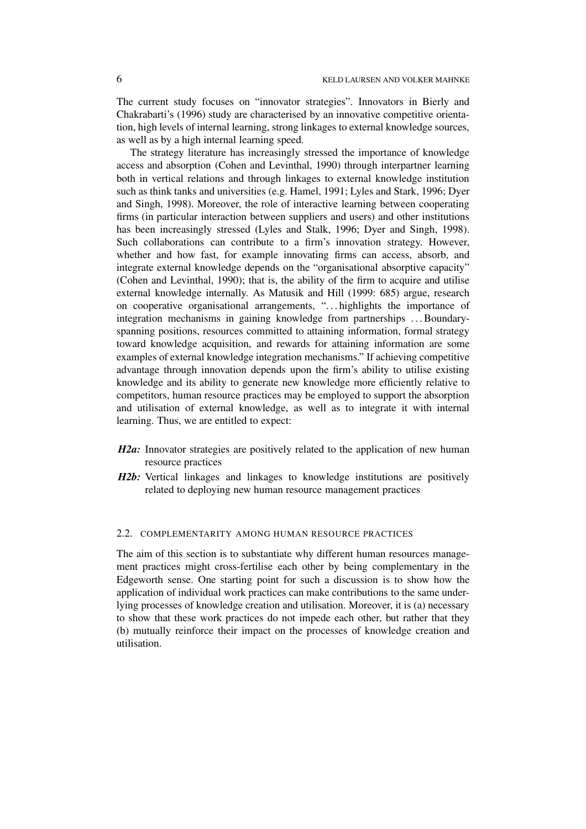The current study focuses on "innovator strategies". Innovators in Bierly and Chakrabarti's (1996) study are characterised by an innovative competitive orientation, high levels of internal learning, strong linkages to external knowledge sources, as well as by a high internal learning speed.

The strategy literature has increasingly stressed the importance of knowledge access and absorption (Cohen and Levinthal, 1990) through interpartner learning both in vertical relations and through linkages to external knowledge institution such as think tanks and universities (e.g. Hamel, 1991; Lyles and Stark, 1996; Dyer and Singh, 1998). Moreover, the role of interactive learning between cooperating firms (in particular interaction between suppliers and users) and other institutions has been increasingly stressed (Lyles and Stalk, 1996; Dyer and Singh, 1998). Such collaborations can contribute to a firm's innovation strategy. However, whether and how fast, for example innovating firms can access, absorb, and integrate external knowledge depends on the "organisational absorptive capacity" (Cohen and Levinthal, 1990); that is, the ability of the firm to acquire and utilise external knowledge internally. As Matusik and Hill (1999: 685) argue, research on cooperative organisational arrangements, ". . . highlights the importance of integration mechanisms in gaining knowledge from partnerships . . . Boundaryspanning positions, resources committed to attaining information, formal strategy toward knowledge acquisition, and rewards for attaining information are some examples of external knowledge integration mechanisms." If achieving competitive advantage through innovation depends upon the firm's ability to utilise existing knowledge and its ability to generate new knowledge more efficiently relative to competitors, human resource practices may be employed to support the absorption and utilisation of external knowledge, as well as to integrate it with internal learning. Thus, we are entitled to expect:

- *H2a*: Innovator strategies are positively related to the application of new human resource practices
- *H2b*: Vertical linkages and linkages to knowledge institutions are positively related to deploying new human resource management practices

## 2.2. COMPLEMENTARITY AMONG HUMAN RESOURCE PRACTICES

The aim of this section is to substantiate why different human resources management practices might cross-fertilise each other by being complementary in the Edgeworth sense. One starting point for such a discussion is to show how the application of individual work practices can make contributions to the same underlying processes of knowledge creation and utilisation. Moreover, it is (a) necessary to show that these work practices do not impede each other, but rather that they (b) mutually reinforce their impact on the processes of knowledge creation and utilisation.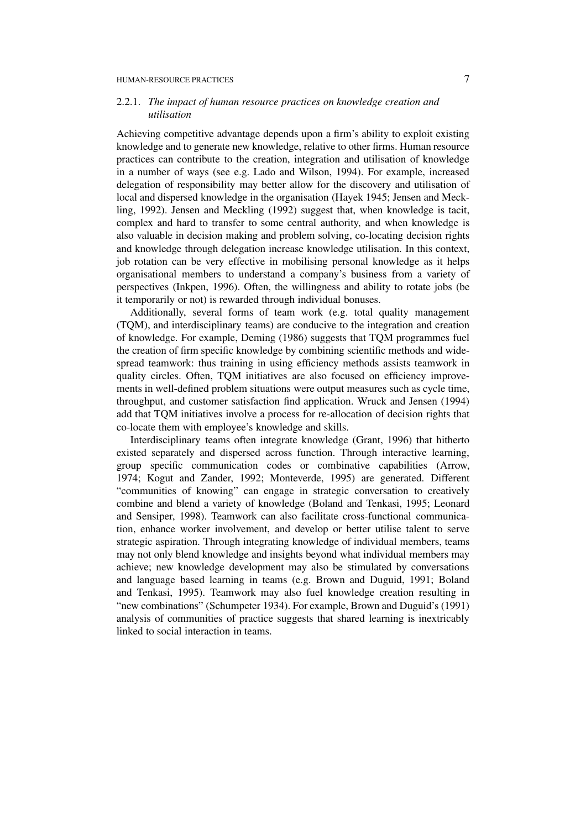## 2.2.1. *The impact of human resource practices on knowledge creation and utilisation*

Achieving competitive advantage depends upon a firm's ability to exploit existing knowledge and to generate new knowledge, relative to other firms. Human resource practices can contribute to the creation, integration and utilisation of knowledge in a number of ways (see e.g. Lado and Wilson, 1994). For example, increased delegation of responsibility may better allow for the discovery and utilisation of local and dispersed knowledge in the organisation (Hayek 1945; Jensen and Meckling, 1992). Jensen and Meckling (1992) suggest that, when knowledge is tacit, complex and hard to transfer to some central authority, and when knowledge is also valuable in decision making and problem solving, co-locating decision rights and knowledge through delegation increase knowledge utilisation. In this context, job rotation can be very effective in mobilising personal knowledge as it helps organisational members to understand a company's business from a variety of perspectives (Inkpen, 1996). Often, the willingness and ability to rotate jobs (be it temporarily or not) is rewarded through individual bonuses.

Additionally, several forms of team work (e.g. total quality management (TQM), and interdisciplinary teams) are conducive to the integration and creation of knowledge. For example, Deming (1986) suggests that TQM programmes fuel the creation of firm specific knowledge by combining scientific methods and widespread teamwork: thus training in using efficiency methods assists teamwork in quality circles. Often, TQM initiatives are also focused on efficiency improvements in well-defined problem situations were output measures such as cycle time, throughput, and customer satisfaction find application. Wruck and Jensen (1994) add that TQM initiatives involve a process for re-allocation of decision rights that co-locate them with employee's knowledge and skills.

Interdisciplinary teams often integrate knowledge (Grant, 1996) that hitherto existed separately and dispersed across function. Through interactive learning, group specific communication codes or combinative capabilities (Arrow, 1974; Kogut and Zander, 1992; Monteverde, 1995) are generated. Different "communities of knowing" can engage in strategic conversation to creatively combine and blend a variety of knowledge (Boland and Tenkasi, 1995; Leonard and Sensiper, 1998). Teamwork can also facilitate cross-functional communication, enhance worker involvement, and develop or better utilise talent to serve strategic aspiration. Through integrating knowledge of individual members, teams may not only blend knowledge and insights beyond what individual members may achieve; new knowledge development may also be stimulated by conversations and language based learning in teams (e.g. Brown and Duguid, 1991; Boland and Tenkasi, 1995). Teamwork may also fuel knowledge creation resulting in "new combinations" (Schumpeter 1934). For example, Brown and Duguid's (1991) analysis of communities of practice suggests that shared learning is inextricably linked to social interaction in teams.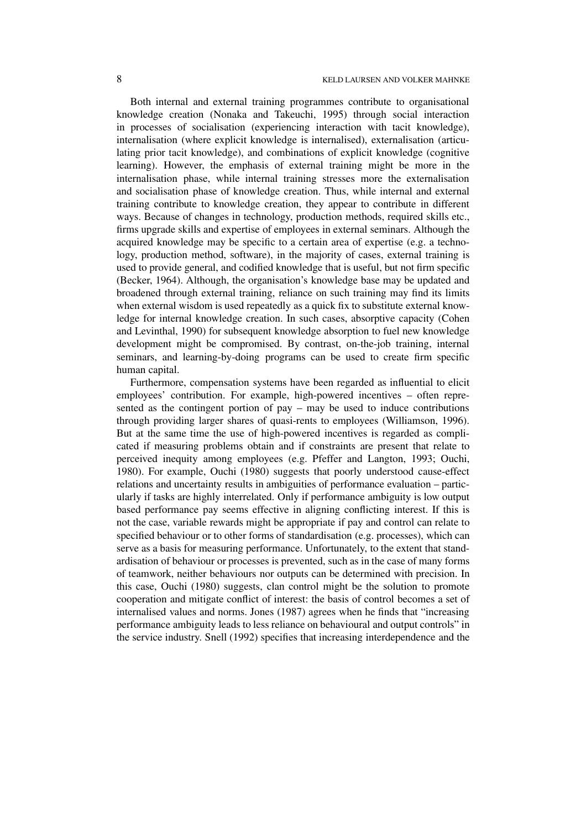Both internal and external training programmes contribute to organisational knowledge creation (Nonaka and Takeuchi, 1995) through social interaction in processes of socialisation (experiencing interaction with tacit knowledge), internalisation (where explicit knowledge is internalised), externalisation (articulating prior tacit knowledge), and combinations of explicit knowledge (cognitive learning). However, the emphasis of external training might be more in the internalisation phase, while internal training stresses more the externalisation and socialisation phase of knowledge creation. Thus, while internal and external training contribute to knowledge creation, they appear to contribute in different ways. Because of changes in technology, production methods, required skills etc., firms upgrade skills and expertise of employees in external seminars. Although the acquired knowledge may be specific to a certain area of expertise (e.g. a technology, production method, software), in the majority of cases, external training is used to provide general, and codified knowledge that is useful, but not firm specific (Becker, 1964). Although, the organisation's knowledge base may be updated and broadened through external training, reliance on such training may find its limits when external wisdom is used repeatedly as a quick fix to substitute external knowledge for internal knowledge creation. In such cases, absorptive capacity (Cohen and Levinthal, 1990) for subsequent knowledge absorption to fuel new knowledge development might be compromised. By contrast, on-the-job training, internal seminars, and learning-by-doing programs can be used to create firm specific human capital.

Furthermore, compensation systems have been regarded as influential to elicit employees' contribution. For example, high-powered incentives – often represented as the contingent portion of pay – may be used to induce contributions through providing larger shares of quasi-rents to employees (Williamson, 1996). But at the same time the use of high-powered incentives is regarded as complicated if measuring problems obtain and if constraints are present that relate to perceived inequity among employees (e.g. Pfeffer and Langton, 1993; Ouchi, 1980). For example, Ouchi (1980) suggests that poorly understood cause-effect relations and uncertainty results in ambiguities of performance evaluation – particularly if tasks are highly interrelated. Only if performance ambiguity is low output based performance pay seems effective in aligning conflicting interest. If this is not the case, variable rewards might be appropriate if pay and control can relate to specified behaviour or to other forms of standardisation (e.g. processes), which can serve as a basis for measuring performance. Unfortunately, to the extent that standardisation of behaviour or processes is prevented, such as in the case of many forms of teamwork, neither behaviours nor outputs can be determined with precision. In this case, Ouchi (1980) suggests, clan control might be the solution to promote cooperation and mitigate conflict of interest: the basis of control becomes a set of internalised values and norms. Jones (1987) agrees when he finds that "increasing performance ambiguity leads to less reliance on behavioural and output controls" in the service industry. Snell (1992) specifies that increasing interdependence and the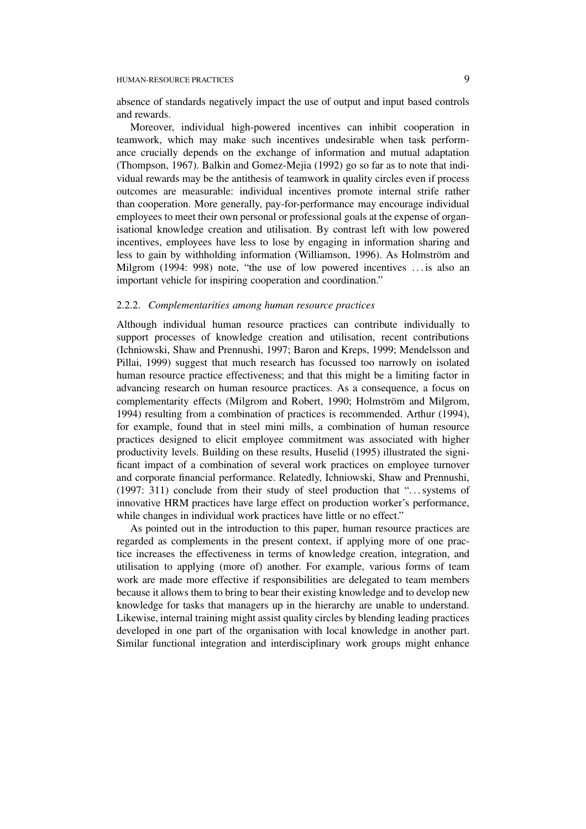absence of standards negatively impact the use of output and input based controls and rewards.

Moreover, individual high-powered incentives can inhibit cooperation in teamwork, which may make such incentives undesirable when task performance crucially depends on the exchange of information and mutual adaptation (Thompson, 1967). Balkin and Gomez-Mejia (1992) go so far as to note that individual rewards may be the antithesis of teamwork in quality circles even if process outcomes are measurable: individual incentives promote internal strife rather than cooperation. More generally, pay-for-performance may encourage individual employees to meet their own personal or professional goals at the expense of organisational knowledge creation and utilisation. By contrast left with low powered incentives, employees have less to lose by engaging in information sharing and less to gain by withholding information (Williamson, 1996). As Holmström and Milgrom (1994: 998) note, "the use of low powered incentives ... is also an important vehicle for inspiring cooperation and coordination."

### 2.2.2. *Complementarities among human resource practices*

Although individual human resource practices can contribute individually to support processes of knowledge creation and utilisation, recent contributions (Ichniowski, Shaw and Prennushi, 1997; Baron and Kreps, 1999; Mendelsson and Pillai, 1999) suggest that much research has focussed too narrowly on isolated human resource practice effectiveness; and that this might be a limiting factor in advancing research on human resource practices. As a consequence, a focus on complementarity effects (Milgrom and Robert, 1990; Holmström and Milgrom, 1994) resulting from a combination of practices is recommended. Arthur (1994), for example, found that in steel mini mills, a combination of human resource practices designed to elicit employee commitment was associated with higher productivity levels. Building on these results, Huselid (1995) illustrated the significant impact of a combination of several work practices on employee turnover and corporate financial performance. Relatedly, Ichniowski, Shaw and Prennushi, (1997: 311) conclude from their study of steel production that ". . . systems of innovative HRM practices have large effect on production worker's performance, while changes in individual work practices have little or no effect."

As pointed out in the introduction to this paper, human resource practices are regarded as complements in the present context, if applying more of one practice increases the effectiveness in terms of knowledge creation, integration, and utilisation to applying (more of) another. For example, various forms of team work are made more effective if responsibilities are delegated to team members because it allows them to bring to bear their existing knowledge and to develop new knowledge for tasks that managers up in the hierarchy are unable to understand. Likewise, internal training might assist quality circles by blending leading practices developed in one part of the organisation with local knowledge in another part. Similar functional integration and interdisciplinary work groups might enhance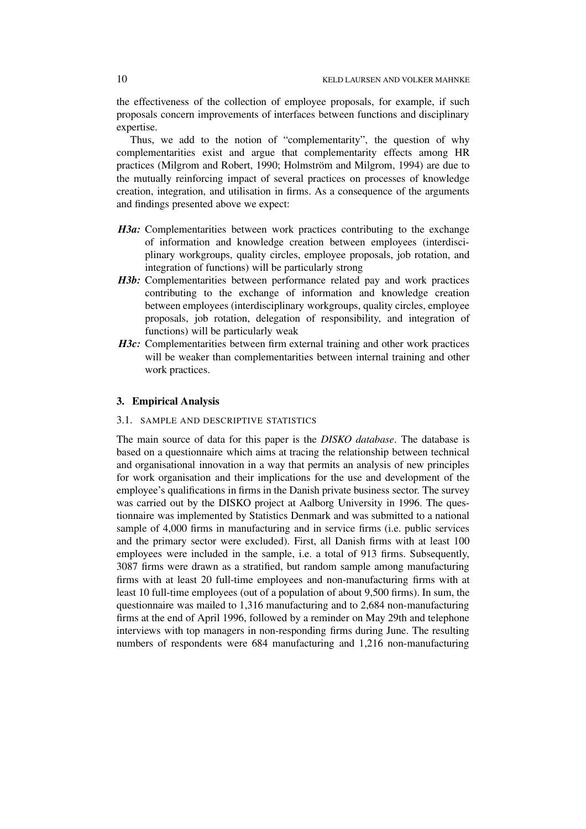the effectiveness of the collection of employee proposals, for example, if such proposals concern improvements of interfaces between functions and disciplinary expertise.

Thus, we add to the notion of "complementarity", the question of why complementarities exist and argue that complementarity effects among HR practices (Milgrom and Robert, 1990; Holmström and Milgrom, 1994) are due to the mutually reinforcing impact of several practices on processes of knowledge creation, integration, and utilisation in firms. As a consequence of the arguments and findings presented above we expect:

- *H3a:* Complementarities between work practices contributing to the exchange of information and knowledge creation between employees (interdisciplinary workgroups, quality circles, employee proposals, job rotation, and integration of functions) will be particularly strong
- *H3b:* Complementarities between performance related pay and work practices contributing to the exchange of information and knowledge creation between employees (interdisciplinary workgroups, quality circles, employee proposals, job rotation, delegation of responsibility, and integration of functions) will be particularly weak
- *H3c:* Complementarities between firm external training and other work practices will be weaker than complementarities between internal training and other work practices.

## **3. Empirical Analysis**

## 3.1. SAMPLE AND DESCRIPTIVE STATISTICS

The main source of data for this paper is the *DISKO database*. The database is based on a questionnaire which aims at tracing the relationship between technical and organisational innovation in a way that permits an analysis of new principles for work organisation and their implications for the use and development of the employee's qualifications in firms in the Danish private business sector. The survey was carried out by the DISKO project at Aalborg University in 1996. The questionnaire was implemented by Statistics Denmark and was submitted to a national sample of 4,000 firms in manufacturing and in service firms (i.e. public services and the primary sector were excluded). First, all Danish firms with at least 100 employees were included in the sample, i.e. a total of 913 firms. Subsequently, 3087 firms were drawn as a stratified, but random sample among manufacturing firms with at least 20 full-time employees and non-manufacturing firms with at least 10 full-time employees (out of a population of about 9,500 firms). In sum, the questionnaire was mailed to 1,316 manufacturing and to 2,684 non-manufacturing firms at the end of April 1996, followed by a reminder on May 29th and telephone interviews with top managers in non-responding firms during June. The resulting numbers of respondents were 684 manufacturing and 1,216 non-manufacturing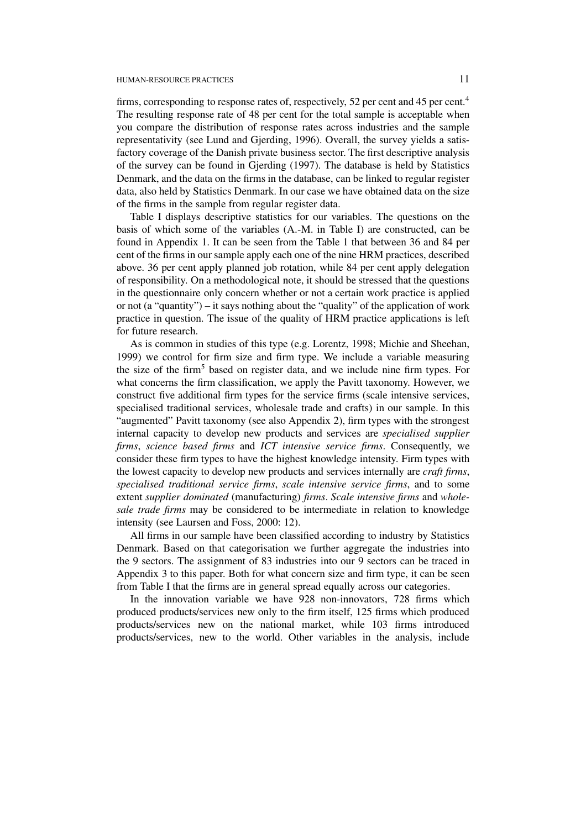firms, corresponding to response rates of, respectively, 52 per cent and 45 per cent.<sup>4</sup> The resulting response rate of 48 per cent for the total sample is acceptable when you compare the distribution of response rates across industries and the sample representativity (see Lund and Gjerding, 1996). Overall, the survey yields a satisfactory coverage of the Danish private business sector. The first descriptive analysis of the survey can be found in Gjerding (1997). The database is held by Statistics Denmark, and the data on the firms in the database, can be linked to regular register data, also held by Statistics Denmark. In our case we have obtained data on the size of the firms in the sample from regular register data.

Table I displays descriptive statistics for our variables. The questions on the basis of which some of the variables (A.-M. in Table I) are constructed, can be found in Appendix 1. It can be seen from the Table 1 that between 36 and 84 per cent of the firms in our sample apply each one of the nine HRM practices, described above. 36 per cent apply planned job rotation, while 84 per cent apply delegation of responsibility. On a methodological note, it should be stressed that the questions in the questionnaire only concern whether or not a certain work practice is applied or not (a "quantity") – it says nothing about the "quality" of the application of work practice in question. The issue of the quality of HRM practice applications is left for future research.

As is common in studies of this type (e.g. Lorentz, 1998; Michie and Sheehan, 1999) we control for firm size and firm type. We include a variable measuring the size of the firm<sup>5</sup> based on register data, and we include nine firm types. For what concerns the firm classification, we apply the Pavitt taxonomy. However, we construct five additional firm types for the service firms (scale intensive services, specialised traditional services, wholesale trade and crafts) in our sample. In this "augmented" Pavitt taxonomy (see also Appendix 2), firm types with the strongest internal capacity to develop new products and services are *specialised supplier firms*, *science based firms* and *ICT intensive service firms*. Consequently, we consider these firm types to have the highest knowledge intensity. Firm types with the lowest capacity to develop new products and services internally are *craft firms*, *specialised traditional service firms*, *scale intensive service firms*, and to some extent *supplier dominated* (manufacturing) *firms*. *Scale intensive firms* and *wholesale trade firms* may be considered to be intermediate in relation to knowledge intensity (see Laursen and Foss, 2000: 12).

All firms in our sample have been classified according to industry by Statistics Denmark. Based on that categorisation we further aggregate the industries into the 9 sectors. The assignment of 83 industries into our 9 sectors can be traced in Appendix 3 to this paper. Both for what concern size and firm type, it can be seen from Table I that the firms are in general spread equally across our categories.

In the innovation variable we have 928 non-innovators, 728 firms which produced products/services new only to the firm itself, 125 firms which produced products/services new on the national market, while 103 firms introduced products/services, new to the world. Other variables in the analysis, include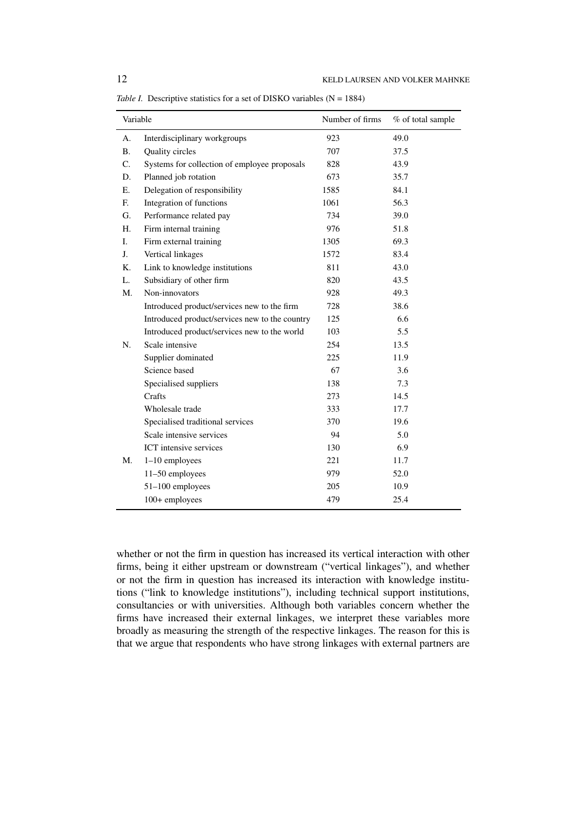| Variable  |                                                | Number of firms | % of total sample |
|-----------|------------------------------------------------|-----------------|-------------------|
| A.        | Interdisciplinary workgroups                   | 923             | 49.0              |
| <b>B.</b> | Quality circles                                | 707             | 37.5              |
| C.        | Systems for collection of employee proposals   | 828             | 43.9              |
| D.        | Planned job rotation                           | 673             | 35.7              |
| E.        | Delegation of responsibility                   | 1585            | 84.1              |
| F.        | Integration of functions                       | 1061            | 56.3              |
| G.        | Performance related pay                        | 734             | 39.0              |
| H.        | Firm internal training                         | 976             | 51.8              |
| L.        | Firm external training                         | 1305            | 69.3              |
| J.        | Vertical linkages                              | 1572            | 83.4              |
| Κ.        | Link to knowledge institutions                 | 811             | 43.0              |
| L.        | Subsidiary of other firm                       | 820             | 43.5              |
| M.        | Non-innovators                                 | 928             | 49.3              |
|           | Introduced product/services new to the firm    | 728             | 38.6              |
|           | Introduced product/services new to the country | 125             | 6.6               |
|           | Introduced product/services new to the world   | 103             | 5.5               |
| N.        | Scale intensive                                | 254             | 13.5              |
|           | Supplier dominated                             | 225             | 11.9              |
|           | Science based                                  | 67              | 3.6               |
|           | Specialised suppliers                          | 138             | 7.3               |
|           | Crafts                                         | 273             | 14.5              |
|           | Wholesale trade                                | 333             | 17.7              |
|           | Specialised traditional services               | 370             | 19.6              |
|           | Scale intensive services                       | 94              | 5.0               |
|           | <b>ICT</b> intensive services                  | 130             | 6.9               |
| M.        | $1-10$ employees                               | 221             | 11.7              |
|           | 11-50 employees                                | 979             | 52.0              |
|           | 51-100 employees                               | 205             | 10.9              |
|           | 100+ employees                                 | 479             | 25.4              |

*Table I.* Descriptive statistics for a set of DISKO variables  $(N = 1884)$ 

whether or not the firm in question has increased its vertical interaction with other firms, being it either upstream or downstream ("vertical linkages"), and whether or not the firm in question has increased its interaction with knowledge institutions ("link to knowledge institutions"), including technical support institutions, consultancies or with universities. Although both variables concern whether the firms have increased their external linkages, we interpret these variables more broadly as measuring the strength of the respective linkages. The reason for this is that we argue that respondents who have strong linkages with external partners are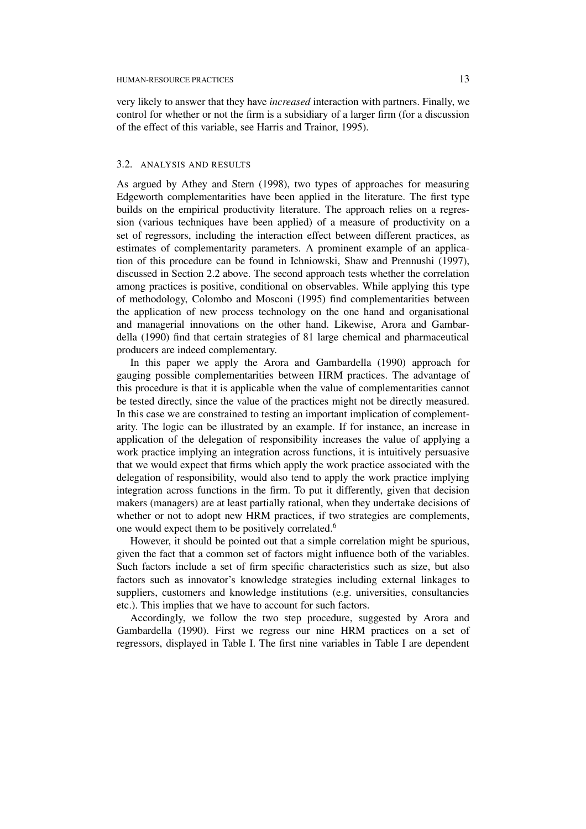very likely to answer that they have *increased* interaction with partners. Finally, we control for whether or not the firm is a subsidiary of a larger firm (for a discussion of the effect of this variable, see Harris and Trainor, 1995).

#### 3.2. ANALYSIS AND RESULTS

As argued by Athey and Stern (1998), two types of approaches for measuring Edgeworth complementarities have been applied in the literature. The first type builds on the empirical productivity literature. The approach relies on a regression (various techniques have been applied) of a measure of productivity on a set of regressors, including the interaction effect between different practices, as estimates of complementarity parameters. A prominent example of an application of this procedure can be found in Ichniowski, Shaw and Prennushi (1997), discussed in Section 2.2 above. The second approach tests whether the correlation among practices is positive, conditional on observables. While applying this type of methodology, Colombo and Mosconi (1995) find complementarities between the application of new process technology on the one hand and organisational and managerial innovations on the other hand. Likewise, Arora and Gambardella (1990) find that certain strategies of 81 large chemical and pharmaceutical producers are indeed complementary.

In this paper we apply the Arora and Gambardella (1990) approach for gauging possible complementarities between HRM practices. The advantage of this procedure is that it is applicable when the value of complementarities cannot be tested directly, since the value of the practices might not be directly measured. In this case we are constrained to testing an important implication of complementarity. The logic can be illustrated by an example. If for instance, an increase in application of the delegation of responsibility increases the value of applying a work practice implying an integration across functions, it is intuitively persuasive that we would expect that firms which apply the work practice associated with the delegation of responsibility, would also tend to apply the work practice implying integration across functions in the firm. To put it differently, given that decision makers (managers) are at least partially rational, when they undertake decisions of whether or not to adopt new HRM practices, if two strategies are complements, one would expect them to be positively correlated.6

However, it should be pointed out that a simple correlation might be spurious, given the fact that a common set of factors might influence both of the variables. Such factors include a set of firm specific characteristics such as size, but also factors such as innovator's knowledge strategies including external linkages to suppliers, customers and knowledge institutions (e.g. universities, consultancies etc.). This implies that we have to account for such factors.

Accordingly, we follow the two step procedure, suggested by Arora and Gambardella (1990). First we regress our nine HRM practices on a set of regressors, displayed in Table I. The first nine variables in Table I are dependent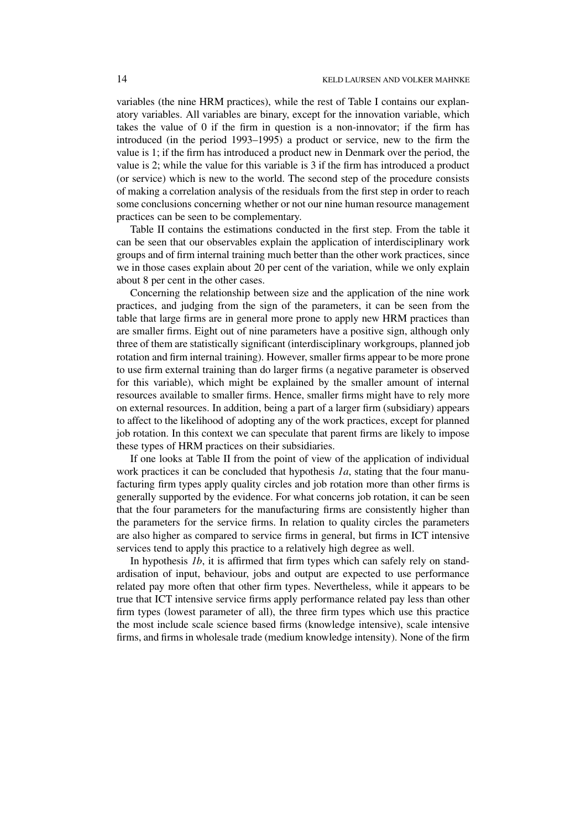variables (the nine HRM practices), while the rest of Table I contains our explanatory variables. All variables are binary, except for the innovation variable, which takes the value of 0 if the firm in question is a non-innovator; if the firm has introduced (in the period 1993–1995) a product or service, new to the firm the value is 1; if the firm has introduced a product new in Denmark over the period, the value is 2; while the value for this variable is 3 if the firm has introduced a product (or service) which is new to the world. The second step of the procedure consists of making a correlation analysis of the residuals from the first step in order to reach some conclusions concerning whether or not our nine human resource management practices can be seen to be complementary.

Table II contains the estimations conducted in the first step. From the table it can be seen that our observables explain the application of interdisciplinary work groups and of firm internal training much better than the other work practices, since we in those cases explain about 20 per cent of the variation, while we only explain about 8 per cent in the other cases.

Concerning the relationship between size and the application of the nine work practices, and judging from the sign of the parameters, it can be seen from the table that large firms are in general more prone to apply new HRM practices than are smaller firms. Eight out of nine parameters have a positive sign, although only three of them are statistically significant (interdisciplinary workgroups, planned job rotation and firm internal training). However, smaller firms appear to be more prone to use firm external training than do larger firms (a negative parameter is observed for this variable), which might be explained by the smaller amount of internal resources available to smaller firms. Hence, smaller firms might have to rely more on external resources. In addition, being a part of a larger firm (subsidiary) appears to affect to the likelihood of adopting any of the work practices, except for planned job rotation. In this context we can speculate that parent firms are likely to impose these types of HRM practices on their subsidiaries.

If one looks at Table II from the point of view of the application of individual work practices it can be concluded that hypothesis *1a*, stating that the four manufacturing firm types apply quality circles and job rotation more than other firms is generally supported by the evidence. For what concerns job rotation, it can be seen that the four parameters for the manufacturing firms are consistently higher than the parameters for the service firms. In relation to quality circles the parameters are also higher as compared to service firms in general, but firms in ICT intensive services tend to apply this practice to a relatively high degree as well.

In hypothesis *1b*, it is affirmed that firm types which can safely rely on standardisation of input, behaviour, jobs and output are expected to use performance related pay more often that other firm types. Nevertheless, while it appears to be true that ICT intensive service firms apply performance related pay less than other firm types (lowest parameter of all), the three firm types which use this practice the most include scale science based firms (knowledge intensive), scale intensive firms, and firms in wholesale trade (medium knowledge intensity). None of the firm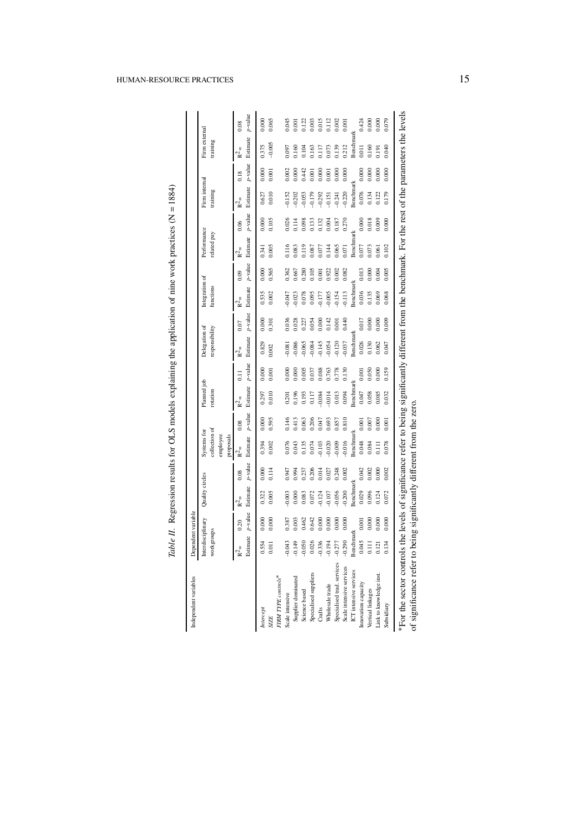| l<br>$\frac{1}{2}$                                                                                                                                                                                                                        |  |
|-------------------------------------------------------------------------------------------------------------------------------------------------------------------------------------------------------------------------------------------|--|
| $\frac{1}{2}$                                                                                                                                                                                                                             |  |
| יות היו המונחה היו לא היו המונחה היו לא היו לא היו לא היו לא היו לא היו לא היו לא היו לא היו לא היו לא היו לא<br>לא לא היו לא היו לא היו לא היו לא היו לא היו לא היו לא היו לא היו לא היו לא היו לא היו לא היו לא היו לא היו לא<br>l<br>l |  |
| ֚֚֚֡֬<br>;<br>֖֖֖֚֚֚֚֚֚֬֝                                                                                                                                                                                                                 |  |
| ֘֒                                                                                                                                                                                                                                        |  |
|                                                                                                                                                                                                                                           |  |
| ļ                                                                                                                                                                                                                                         |  |
| ׇ֚֡֡֡֡֡֡֡                                                                                                                                                                                                                                 |  |
|                                                                                                                                                                                                                                           |  |
| ֖֖֖֖֖ׅׅ֖֧֪֪ׅ֪֪֪ׅ֪֪֪֪֪ׅ֧֚֚֚֚֚֚֚֚֚֚֚֚֚֚֚֚֚֚֚֚֚֚֚֚֚֚֚֚֚֬֝֬֓֝֓֞֓                                                                                                                                                                              |  |
| ;<br>;<br>;<br>;                                                                                                                                                                                                                          |  |
| .<br>7<br>7<br>)<br>ì                                                                                                                                                                                                                     |  |
|                                                                                                                                                                                                                                           |  |
|                                                                                                                                                                                                                                           |  |
| i                                                                                                                                                                                                                                         |  |
| ;<br>ļ<br>֘֒<br>l                                                                                                                                                                                                                         |  |
| i<br>$\cdots$<br>j<br>ŀ                                                                                                                                                                                                                   |  |

| Independent variables                                                 | Dependent variable              |                 |                                                                                                                                    |            |                                                       |            |                         |                |                                 |                   |                             |         |                            |         |                           |         |                           |                 |
|-----------------------------------------------------------------------|---------------------------------|-----------------|------------------------------------------------------------------------------------------------------------------------------------|------------|-------------------------------------------------------|------------|-------------------------|----------------|---------------------------------|-------------------|-----------------------------|---------|----------------------------|---------|---------------------------|---------|---------------------------|-----------------|
|                                                                       | Interdisciplinary<br>workgroups |                 | Quality circles                                                                                                                    |            | collection of<br>Systems for<br>employee<br>proposals |            | Planned job<br>rotation |                | Delegation of<br>responsibility |                   | Integration of<br>functions |         | Performance<br>related pay |         | Firm internal<br>training |         | Firm external<br>training |                 |
|                                                                       | $R^2 =$<br>I                    | 0.20            | $R^2$                                                                                                                              | 0.08       | $R^2 =$                                               | 0.08       | $R^2$ =                 |                | $R^2 =$                         | 0.07              | $R^2 =$                     | 0.09    | $R^2 =$                    | 0.06    | $R^2 =$                   | 0.18    | $R^2 =$                   | 0.08            |
|                                                                       | Estimate                        | $p$ -value      | Estimate                                                                                                                           | $p$ -value | Estimate                                              | $p$ -value | Estimate                | p-value        | Estimate                        | p-value           | Estimate                    | p-value | Estimate                   | p-value | Estimate                  | p-value | Estimate                  | p-value         |
| Intercept                                                             | 0.554                           | 0.000           | 0.322                                                                                                                              | 0.000      | 0.394                                                 | 0.000      | 0.297                   | 0.000          | 0.829                           | 0.000             | 0.535                       | 0.000   | 0.341                      | 0.000   | 0.627                     | 0.000   | 0.375                     | 0.000           |
| <b>SIZE</b>                                                           | 0.011                           | 0.000           | 0.005                                                                                                                              | 0.114      | 0.002                                                 | 0.595      | 0.010                   | 0.001          | 0.002                           | 0.301             | 0.002                       | 0.565   | 0.005                      | 0.105   | 0.010                     | 0.001   | $-0.005$                  | 0.065           |
| FIRM TYPE controls*                                                   |                                 |                 |                                                                                                                                    |            |                                                       |            |                         |                |                                 |                   |                             |         |                            |         |                           |         |                           |                 |
| Scale intensive                                                       | $-0.043$                        | 0.387           | $-0.003$                                                                                                                           | 0.947      | 0.076                                                 | 0.146      | 0.201                   | 0.000          | $-0.081$                        | 0.036             | $-0.047$                    | 0.362   |                            | 0.026   | 0.152                     | 0.002   | 0.097                     | 0.045           |
| Supplier dominated                                                    | $-0.149$                        | 0.003           | 0.000                                                                                                                              | 0.994      | 0.043                                                 | 0.413      | 0.196                   | 0.000          | $-0.086$                        | 0.028             | $-0.023$                    | 0.667   | 0.08                       | 114     | 0.202                     | 0.000   | 0.160                     | 0.001           |
| Science based                                                         | $-0.050$                        | 0.462           | 0.083                                                                                                                              | 0.237      | .135                                                  | 0.063      | 0.193                   | 0.005          | $-0.065$                        | 0.227             | 0.078                       | 0.280   |                            | 0.098   | 0.053                     | 0.442   | 0.104                     | 0.122           |
| Specialised suppliers                                                 | 0.026                           | 0.642           | 0.072                                                                                                                              | 0.206      | 0.074                                                 | 206        | 0.117                   | 0.037          | $-0.084$                        | 0.054             | 0.095                       | 0.105   | 0.087                      | 2133    | 0.179                     | 0.001   | 0.163                     | 0.003           |
| Crafts                                                                | $-0.336$                        | 0.000           | $-0.124$                                                                                                                           | 0.014      | $-0.103$                                              | 0.047      | 0.084                   | 0.088          | $-0.145$                        | 0.000             | $-0.177$                    | 0.001   | 0.07                       | 0.132   | 0.292                     | 0.000   | 0.117                     | 0.015           |
| Wholesale trade                                                       | $-0.194$                        | 0.000           | $-0.107$                                                                                                                           | 0.027      | $-0.020$                                              | 0.693      | $-0.014$                | 0.763          | $-0.054$                        | 0.142             | $-0.005$                    | 0.922   | 0.144                      | 0.004   | 0.151                     | 0.001   | 0.073                     | $\frac{112}{2}$ |
| Specialised trad. services                                            | $-0.277$                        | 0.000           | $-0.056$                                                                                                                           | 0.248      | $-0.009$                                              | 0.857      | 0.013                   | 0.778          | $-0.120$                        | $\overline{0}00$  | $-0.154$                    | 0.002   | 0.065                      | 0.187   | 0.241                     | 0.000   | 0.139                     | 0.002           |
| Scale intensive services                                              | $-0.290$                        | 0.000           | $-0.200$                                                                                                                           | 0.002      | $-0.016$                                              | 0.810      | 0.094                   | 0.130          | $-0.037$                        | 0.440             | $-0.113$                    | 0.082   | 0.071                      | 0.270   | $-0.220$                  | 0.000   | 0.212                     | 0.001           |
| ICT intensive services                                                | Benchmark                       |                 | Benchmark                                                                                                                          |            | Benchmark                                             |            | Benchmark               |                | Benchmark                       |                   | Benchmark                   |         | Benchmark                  |         | Benchmark                 |         | Benchmark                 |                 |
| Innovation capacity                                                   | 0.045                           | $\overline{00}$ | 0.029                                                                                                                              | 0.042      | 0.048                                                 | 0.001      | 0.047                   | $\overline{0}$ | 0.026                           | $\overline{0.01}$ | 0.036                       | 0.013   | 0.077                      | 0.000   | 0.076                     | 0.000   | $\overline{0.01}$         | 0.424           |
| Vertical linkages                                                     | 0.111                           | 0.000           | 0.096                                                                                                                              | 0.002      | 0.084                                                 | 0.007      | 0.058                   | 0.050          | 0.130                           | 0.000             | 0.135                       | 0.000   | 0.073                      | 0.018   | 0.134                     | 0.000   | 0.160                     | 0.000           |
| Link to knowledge inst.                                               | 0.121                           | 0.000           | 0.124                                                                                                                              | 0.000      | Ξ                                                     | 0.000      | 0.085                   | 0.000          | 0.062                           | 0.000             | 0.069                       | 0.004   | 0.061                      | 0.009   | 0.122                     | 0.000   | 0.191                     | 0.000           |
| Subsidiary                                                            | 0.134                           | 0.000           | 0.072                                                                                                                              | 0.002      | 0.078                                                 | 0.001      | 0.032                   | 0.159          | 0.047                           | 0.009             | 0.068                       | 0.005   | 0.102                      | 0.000   | 0.179                     | 0.000   | 0.040                     | 0.079           |
| *For the sector contro                                                |                                 |                 | Is the levels of significance refer to being significantly different from the benchmark. For the rest of the parameters the levels |            |                                                       |            |                         |                |                                 |                   |                             |         |                            |         |                           |         |                           |                 |
| of significance refer to being significantly different from the zero. |                                 |                 |                                                                                                                                    |            |                                                       |            |                         |                |                                 |                   |                             |         |                            |         |                           |         |                           |                 |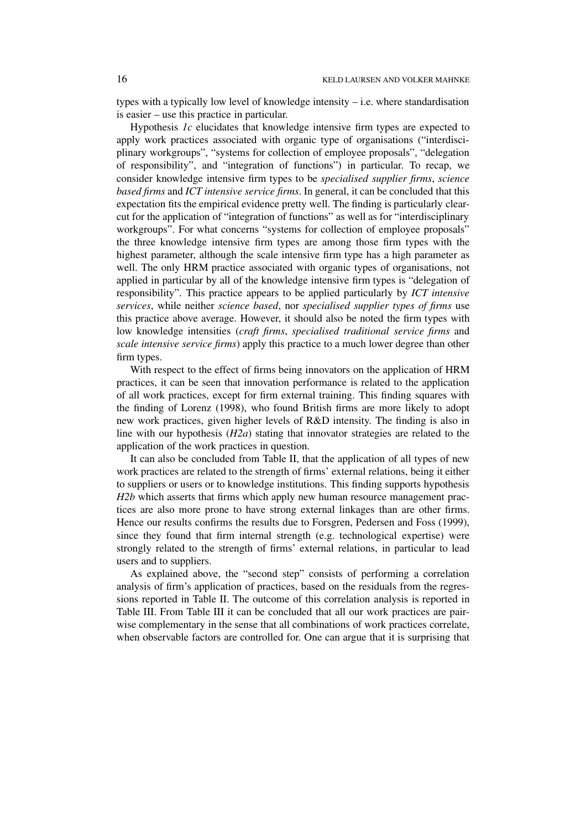types with a typically low level of knowledge intensity – i.e. where standardisation is easier – use this practice in particular.

Hypothesis *1c* elucidates that knowledge intensive firm types are expected to apply work practices associated with organic type of organisations ("interdisciplinary workgroups", "systems for collection of employee proposals", "delegation of responsibility", and "integration of functions") in particular. To recap, we consider knowledge intensive firm types to be *specialised supplier firms*, *science based firms* and *ICT intensive service firms*. In general, it can be concluded that this expectation fits the empirical evidence pretty well. The finding is particularly clearcut for the application of "integration of functions" as well as for "interdisciplinary workgroups". For what concerns "systems for collection of employee proposals" the three knowledge intensive firm types are among those firm types with the highest parameter, although the scale intensive firm type has a high parameter as well. The only HRM practice associated with organic types of organisations, not applied in particular by all of the knowledge intensive firm types is "delegation of responsibility". This practice appears to be applied particularly by *ICT intensive services*, while neither *science based*, nor *specialised supplier types of firms* use this practice above average. However, it should also be noted the firm types with low knowledge intensities (*craft firms*, *specialised traditional service firms* and *scale intensive service firms*) apply this practice to a much lower degree than other firm types.

With respect to the effect of firms being innovators on the application of HRM practices, it can be seen that innovation performance is related to the application of all work practices, except for firm external training. This finding squares with the finding of Lorenz (1998), who found British firms are more likely to adopt new work practices, given higher levels of R&D intensity. The finding is also in line with our hypothesis (*H2a*) stating that innovator strategies are related to the application of the work practices in question.

It can also be concluded from Table II, that the application of all types of new work practices are related to the strength of firms' external relations, being it either to suppliers or users or to knowledge institutions. This finding supports hypothesis *H2b* which asserts that firms which apply new human resource management practices are also more prone to have strong external linkages than are other firms. Hence our results confirms the results due to Forsgren, Pedersen and Foss (1999), since they found that firm internal strength (e.g. technological expertise) were strongly related to the strength of firms' external relations, in particular to lead users and to suppliers.

As explained above, the "second step" consists of performing a correlation analysis of firm's application of practices, based on the residuals from the regressions reported in Table II. The outcome of this correlation analysis is reported in Table III. From Table III it can be concluded that all our work practices are pairwise complementary in the sense that all combinations of work practices correlate, when observable factors are controlled for. One can argue that it is surprising that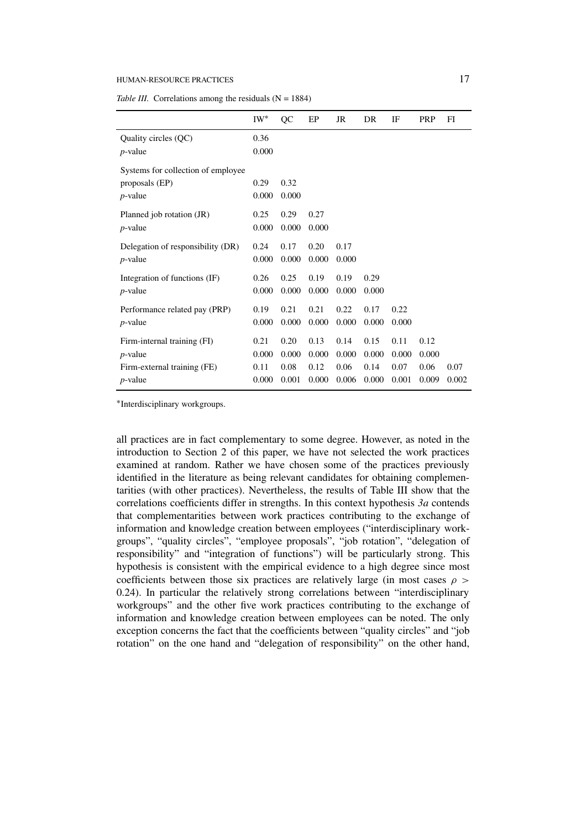|  | Table III. Correlations among the residuals $(N = 1884)$ |  |  |  |  |
|--|----------------------------------------------------------|--|--|--|--|
|--|----------------------------------------------------------|--|--|--|--|

|                                                                                        | $IW^*$                         | QC                             | EP                             | JR                             | DR                             | IF                             | <b>PRP</b>                     | FI            |
|----------------------------------------------------------------------------------------|--------------------------------|--------------------------------|--------------------------------|--------------------------------|--------------------------------|--------------------------------|--------------------------------|---------------|
| Quality circles (QC)<br>$p$ -value                                                     | 0.36<br>0.000                  |                                |                                |                                |                                |                                |                                |               |
| Systems for collection of employee<br>proposals (EP)<br><i>p</i> -value                | 0.29<br>0.000                  | 0.32<br>0.000                  |                                |                                |                                |                                |                                |               |
| Planned job rotation (JR)<br>$p$ -value                                                | 0.25<br>0.000                  | 0.29<br>0.000                  | 0.27<br>0.000                  |                                |                                |                                |                                |               |
| Delegation of responsibility (DR)<br><i>p</i> -value                                   | 0.24<br>0.000                  | 0.17<br>0.000                  | 0.20<br>0.000                  | 0.17<br>0.000                  |                                |                                |                                |               |
| Integration of functions (IF)<br>$p$ -value                                            | 0.26<br>0.000                  | 0.25<br>0.000                  | 0.19<br>0.000                  | 0.19<br>0.000                  | 0.29<br>0.000                  |                                |                                |               |
| Performance related pay (PRP)<br>$p$ -value                                            | 0.19<br>0.000                  | 0.21<br>0.000                  | 0.21<br>0.000                  | 0.22<br>0.000                  | 0.17<br>0.000                  | 0.22<br>0.000                  |                                |               |
| Firm-internal training (FI)<br>$p$ -value<br>Firm-external training (FE)<br>$p$ -value | 0.21<br>0.000<br>0.11<br>0.000 | 0.20<br>0.000<br>0.08<br>0.001 | 0.13<br>0.000<br>0.12<br>0.000 | 0.14<br>0.000<br>0.06<br>0.006 | 0.15<br>0.000<br>0.14<br>0.000 | 0.11<br>0.000<br>0.07<br>0.001 | 0.12<br>0.000<br>0.06<br>0.009 | 0.07<br>0.002 |

∗Interdisciplinary workgroups.

all practices are in fact complementary to some degree. However, as noted in the introduction to Section 2 of this paper, we have not selected the work practices examined at random. Rather we have chosen some of the practices previously identified in the literature as being relevant candidates for obtaining complementarities (with other practices). Nevertheless, the results of Table III show that the correlations coefficients differ in strengths. In this context hypothesis *3a* contends that complementarities between work practices contributing to the exchange of information and knowledge creation between employees ("interdisciplinary workgroups", "quality circles", "employee proposals", "job rotation", "delegation of responsibility" and "integration of functions") will be particularly strong. This hypothesis is consistent with the empirical evidence to a high degree since most coefficients between those six practices are relatively large (in most cases *ρ >* 0.24). In particular the relatively strong correlations between "interdisciplinary workgroups" and the other five work practices contributing to the exchange of information and knowledge creation between employees can be noted. The only exception concerns the fact that the coefficients between "quality circles" and "job rotation" on the one hand and "delegation of responsibility" on the other hand,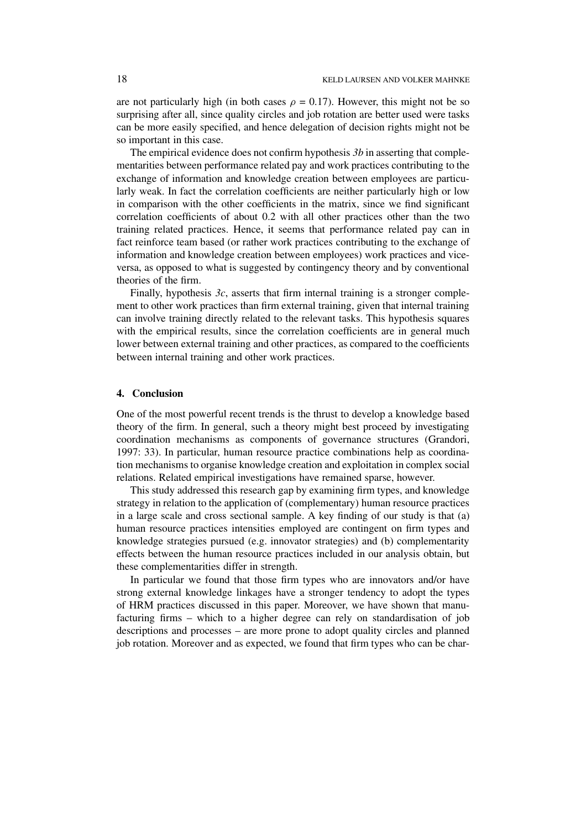are not particularly high (in both cases  $\rho = 0.17$ ). However, this might not be so surprising after all, since quality circles and job rotation are better used were tasks can be more easily specified, and hence delegation of decision rights might not be so important in this case.

The empirical evidence does not confirm hypothesis *3b* in asserting that complementarities between performance related pay and work practices contributing to the exchange of information and knowledge creation between employees are particularly weak. In fact the correlation coefficients are neither particularly high or low in comparison with the other coefficients in the matrix, since we find significant correlation coefficients of about 0.2 with all other practices other than the two training related practices. Hence, it seems that performance related pay can in fact reinforce team based (or rather work practices contributing to the exchange of information and knowledge creation between employees) work practices and viceversa, as opposed to what is suggested by contingency theory and by conventional theories of the firm.

Finally, hypothesis  $3c$ , asserts that firm internal training is a stronger complement to other work practices than firm external training, given that internal training can involve training directly related to the relevant tasks. This hypothesis squares with the empirical results, since the correlation coefficients are in general much lower between external training and other practices, as compared to the coefficients between internal training and other work practices.

## **4. Conclusion**

One of the most powerful recent trends is the thrust to develop a knowledge based theory of the firm. In general, such a theory might best proceed by investigating coordination mechanisms as components of governance structures (Grandori, 1997: 33). In particular, human resource practice combinations help as coordination mechanisms to organise knowledge creation and exploitation in complex social relations. Related empirical investigations have remained sparse, however.

This study addressed this research gap by examining firm types, and knowledge strategy in relation to the application of (complementary) human resource practices in a large scale and cross sectional sample. A key finding of our study is that (a) human resource practices intensities employed are contingent on firm types and knowledge strategies pursued (e.g. innovator strategies) and (b) complementarity effects between the human resource practices included in our analysis obtain, but these complementarities differ in strength.

In particular we found that those firm types who are innovators and/or have strong external knowledge linkages have a stronger tendency to adopt the types of HRM practices discussed in this paper. Moreover, we have shown that manufacturing firms – which to a higher degree can rely on standardisation of job descriptions and processes – are more prone to adopt quality circles and planned job rotation. Moreover and as expected, we found that firm types who can be char-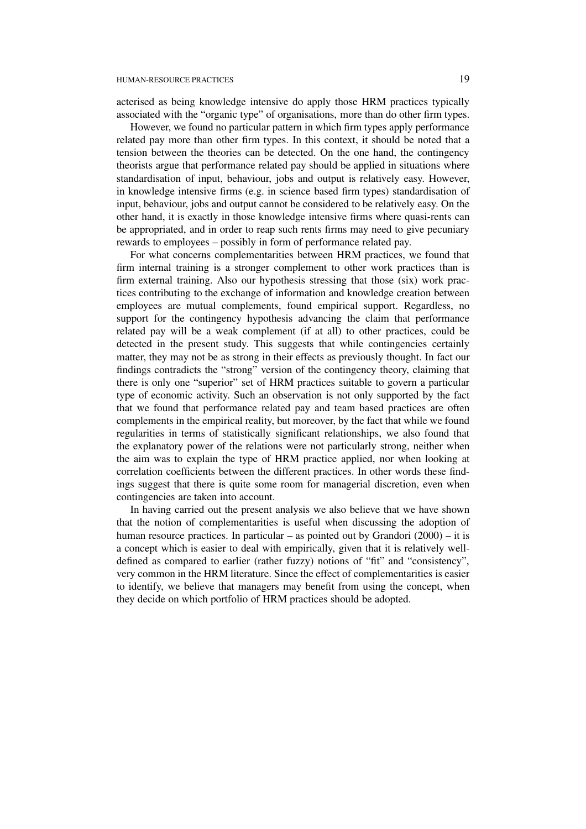acterised as being knowledge intensive do apply those HRM practices typically associated with the "organic type" of organisations, more than do other firm types.

However, we found no particular pattern in which firm types apply performance related pay more than other firm types. In this context, it should be noted that a tension between the theories can be detected. On the one hand, the contingency theorists argue that performance related pay should be applied in situations where standardisation of input, behaviour, jobs and output is relatively easy. However, in knowledge intensive firms (e.g. in science based firm types) standardisation of input, behaviour, jobs and output cannot be considered to be relatively easy. On the other hand, it is exactly in those knowledge intensive firms where quasi-rents can be appropriated, and in order to reap such rents firms may need to give pecuniary rewards to employees – possibly in form of performance related pay.

For what concerns complementarities between HRM practices, we found that firm internal training is a stronger complement to other work practices than is firm external training. Also our hypothesis stressing that those (six) work practices contributing to the exchange of information and knowledge creation between employees are mutual complements, found empirical support. Regardless, no support for the contingency hypothesis advancing the claim that performance related pay will be a weak complement (if at all) to other practices, could be detected in the present study. This suggests that while contingencies certainly matter, they may not be as strong in their effects as previously thought. In fact our findings contradicts the "strong" version of the contingency theory, claiming that there is only one "superior" set of HRM practices suitable to govern a particular type of economic activity. Such an observation is not only supported by the fact that we found that performance related pay and team based practices are often complements in the empirical reality, but moreover, by the fact that while we found regularities in terms of statistically significant relationships, we also found that the explanatory power of the relations were not particularly strong, neither when the aim was to explain the type of HRM practice applied, nor when looking at correlation coefficients between the different practices. In other words these findings suggest that there is quite some room for managerial discretion, even when contingencies are taken into account.

In having carried out the present analysis we also believe that we have shown that the notion of complementarities is useful when discussing the adoption of human resource practices. In particular – as pointed out by Grandori (2000) – it is a concept which is easier to deal with empirically, given that it is relatively welldefined as compared to earlier (rather fuzzy) notions of "fit" and "consistency", very common in the HRM literature. Since the effect of complementarities is easier to identify, we believe that managers may benefit from using the concept, when they decide on which portfolio of HRM practices should be adopted.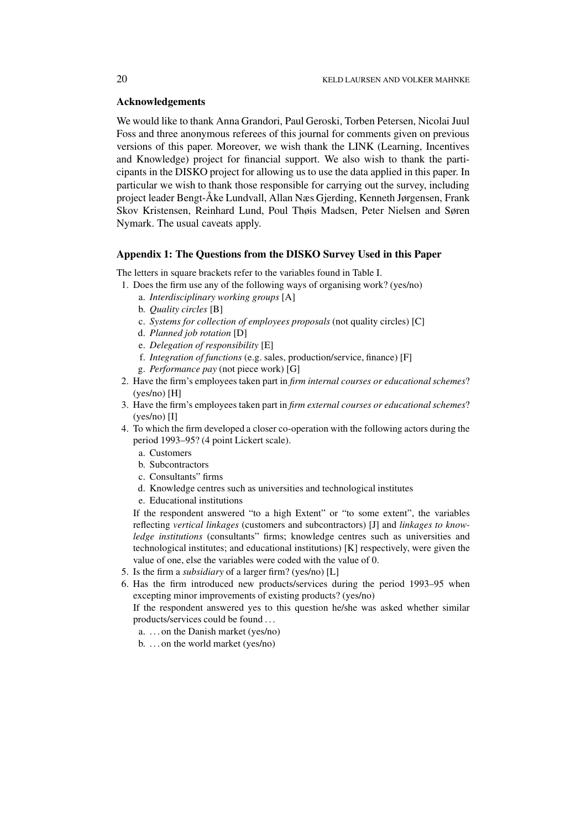## **Acknowledgements**

We would like to thank Anna Grandori, Paul Geroski, Torben Petersen, Nicolai Juul Foss and three anonymous referees of this journal for comments given on previous versions of this paper. Moreover, we wish thank the LINK (Learning, Incentives and Knowledge) project for financial support. We also wish to thank the participants in the DISKO project for allowing us to use the data applied in this paper. In particular we wish to thank those responsible for carrying out the survey, including project leader Bengt-Åke Lundvall, Allan Næs Gjerding, Kenneth Jørgensen, Frank Skov Kristensen, Reinhard Lund, Poul Thøis Madsen, Peter Nielsen and Søren Nymark. The usual caveats apply.

## **Appendix 1: The Questions from the DISKO Survey Used in this Paper**

The letters in square brackets refer to the variables found in Table I.

- 1. Does the firm use any of the following ways of organising work? (yes/no)
	- a. *Interdisciplinary working groups* [A]
	- b. *Quality circles* [B]
	- c. *Systems for collection of employees proposals* (not quality circles) [C]
	- d. *Planned job rotation* [D]
	- e. *Delegation of responsibility* [E]
	- f. *Integration of functions* (e.g. sales, production/service, finance) [F]
	- g. *Performance pay* (not piece work) [G]
- 2. Have the firm's employees taken part in *firm internal courses or educational schemes*? (yes/no) [H]
- 3. Have the firm's employees taken part in *firm external courses or educational schemes*?  $(yes/no)$   $\Pi$
- 4. To which the firm developed a closer co-operation with the following actors during the period 1993–95? (4 point Lickert scale).
	- a. Customers
	- b. Subcontractors
	- c. Consultants" firms
	- d. Knowledge centres such as universities and technological institutes
	- e. Educational institutions

If the respondent answered "to a high Extent" or "to some extent", the variables reflecting *vertical linkages* (customers and subcontractors) [J] and *linkages to knowledge institutions* (consultants" firms; knowledge centres such as universities and technological institutes; and educational institutions) [K] respectively, were given the value of one, else the variables were coded with the value of 0.

- 5. Is the firm a *subsidiary* of a larger firm? (yes/no) [L]
- 6. Has the firm introduced new products/services during the period 1993–95 when excepting minor improvements of existing products? (yes/no)

If the respondent answered yes to this question he/she was asked whether similar products/services could be found . . .

- a. . . . on the Danish market (yes/no)
- b. . . . on the world market (yes/no)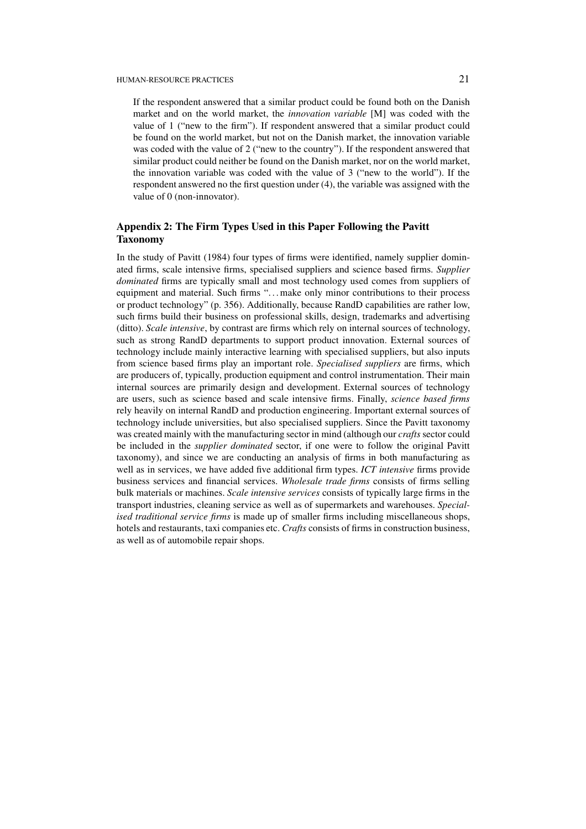If the respondent answered that a similar product could be found both on the Danish market and on the world market, the *innovation variable* [M] was coded with the value of 1 ("new to the firm"). If respondent answered that a similar product could be found on the world market, but not on the Danish market, the innovation variable was coded with the value of 2 ("new to the country"). If the respondent answered that similar product could neither be found on the Danish market, nor on the world market, the innovation variable was coded with the value of 3 ("new to the world"). If the respondent answered no the first question under (4), the variable was assigned with the value of 0 (non-innovator).

## **Appendix 2: The Firm Types Used in this Paper Following the Pavitt Taxonomy**

In the study of Pavitt (1984) four types of firms were identified, namely supplier dominated firms, scale intensive firms, specialised suppliers and science based firms. *Supplier dominated* firms are typically small and most technology used comes from suppliers of equipment and material. Such firms "...make only minor contributions to their process or product technology" (p. 356). Additionally, because RandD capabilities are rather low, such firms build their business on professional skills, design, trademarks and advertising (ditto). *Scale intensive*, by contrast are firms which rely on internal sources of technology, such as strong RandD departments to support product innovation. External sources of technology include mainly interactive learning with specialised suppliers, but also inputs from science based firms play an important role. *Specialised suppliers* are firms, which are producers of, typically, production equipment and control instrumentation. Their main internal sources are primarily design and development. External sources of technology are users, such as science based and scale intensive firms. Finally, *science based firms* rely heavily on internal RandD and production engineering. Important external sources of technology include universities, but also specialised suppliers. Since the Pavitt taxonomy was created mainly with the manufacturing sector in mind (although our *crafts* sector could be included in the *supplier dominated* sector, if one were to follow the original Pavitt taxonomy), and since we are conducting an analysis of firms in both manufacturing as well as in services, we have added five additional firm types. *ICT intensive* firms provide business services and financial services. *Wholesale trade firms* consists of firms selling bulk materials or machines. *Scale intensive services* consists of typically large firms in the transport industries, cleaning service as well as of supermarkets and warehouses. *Specialised traditional service firms* is made up of smaller firms including miscellaneous shops, hotels and restaurants, taxi companies etc. *Crafts* consists of firms in construction business, as well as of automobile repair shops.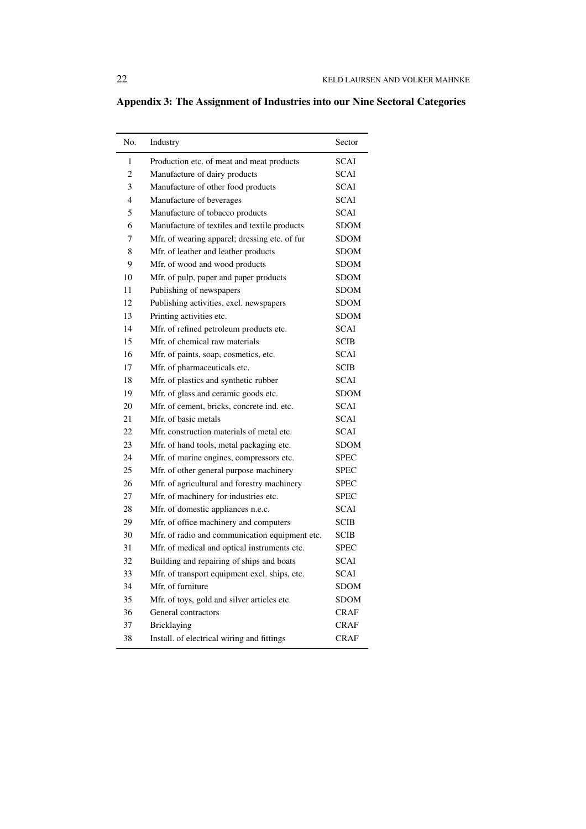| No. | Industry                                       | Sector      |
|-----|------------------------------------------------|-------------|
| 1   | Production etc. of meat and meat products      | SCAI        |
| 2   | Manufacture of dairy products                  | SCAI        |
| 3   | Manufacture of other food products             | SCAI        |
| 4   | Manufacture of beverages                       | SCAI        |
| 5   | Manufacture of tobacco products                | <b>SCAI</b> |
| 6   | Manufacture of textiles and textile products   | <b>SDOM</b> |
| 7   | Mfr. of wearing apparel; dressing etc. of fur  | <b>SDOM</b> |
| 8   | Mfr. of leather and leather products           | <b>SDOM</b> |
| 9   | Mfr. of wood and wood products                 | <b>SDOM</b> |
| 10  | Mfr. of pulp, paper and paper products         | <b>SDOM</b> |
| 11  | Publishing of newspapers                       | <b>SDOM</b> |
| 12  | Publishing activities, excl. newspapers        | <b>SDOM</b> |
| 13  | Printing activities etc.                       | <b>SDOM</b> |
| 14  | Mfr. of refined petroleum products etc.        | <b>SCAI</b> |
| 15  | Mfr. of chemical raw materials                 | <b>SCIB</b> |
| 16  | Mfr. of paints, soap, cosmetics, etc.          | <b>SCAI</b> |
| 17  | Mfr. of pharmaceuticals etc.                   | <b>SCIB</b> |
| 18  | Mfr. of plastics and synthetic rubber          | <b>SCAI</b> |
| 19  | Mfr. of glass and ceramic goods etc.           | <b>SDOM</b> |
| 20  | Mfr. of cement, bricks, concrete ind. etc.     | <b>SCAI</b> |
| 21  | Mfr. of basic metals                           | <b>SCAI</b> |
| 22  | Mfr. construction materials of metal etc.      | <b>SCAI</b> |
| 23  | Mfr. of hand tools, metal packaging etc.       | <b>SDOM</b> |
| 24  | Mfr. of marine engines, compressors etc.       | <b>SPEC</b> |
| 25  | Mfr. of other general purpose machinery        | <b>SPEC</b> |
| 26  | Mfr. of agricultural and forestry machinery    | SPEC        |
| 27  | Mfr. of machinery for industries etc.          | <b>SPEC</b> |
| 28  | Mfr. of domestic appliances n.e.c.             | <b>SCAI</b> |
| 29  | Mfr. of office machinery and computers         | <b>SCIB</b> |
| 30  | Mfr. of radio and communication equipment etc. | <b>SCIB</b> |
| 31  | Mfr. of medical and optical instruments etc.   | <b>SPEC</b> |
| 32  | Building and repairing of ships and boats      | SCAI        |
| 33  | Mfr. of transport equipment excl. ships, etc.  | <b>SCAI</b> |
| 34  | Mfr. of furniture                              | <b>SDOM</b> |
| 35  | Mfr. of toys, gold and silver articles etc.    | SDOM        |
| 36  | General contractors                            | <b>CRAF</b> |
| 37  | Bricklaying                                    | <b>CRAF</b> |
| 38  | Install. of electrical wiring and fittings     | <b>CRAF</b> |

**Appendix 3: The Assignment of Industries into our Nine Sectoral Categories**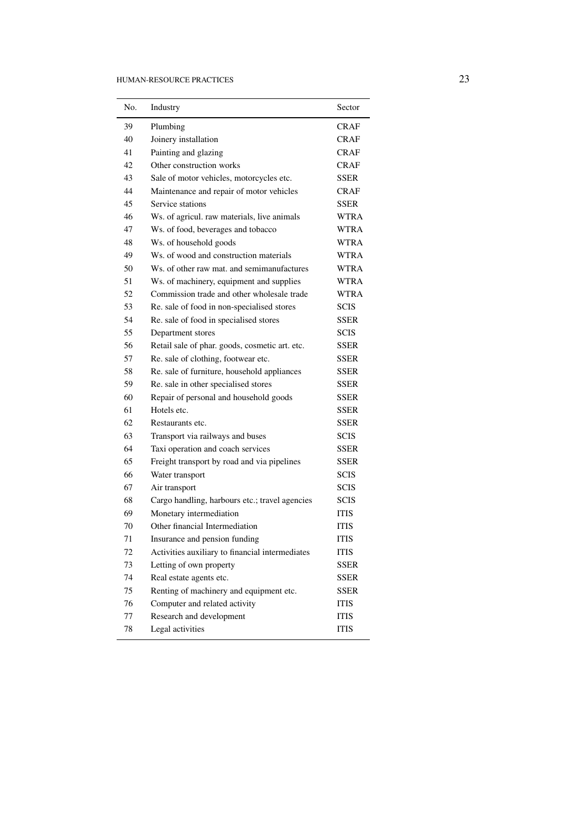| No. | Industry                                            | Sector      |
|-----|-----------------------------------------------------|-------------|
| 39  | Plumbing                                            | <b>CRAF</b> |
| 40  | Joinery installation                                | CRAF        |
| 41  | Painting and glazing                                | <b>CRAF</b> |
| 42  | Other construction works                            | <b>CRAF</b> |
| 43  | Sale of motor vehicles, motorcycles etc.            | SSER        |
| 44  | Maintenance and repair of motor vehicles            | <b>CRAF</b> |
| 45  | Service stations                                    | <b>SSER</b> |
| 46  | Ws. of agricul. raw materials, live animals         | <b>WTRA</b> |
| 47  | Ws. of food, beverages and tobacco                  | WTR A       |
| 48  | Ws. of household goods                              | <b>WTRA</b> |
| 49  | W <sub>s</sub> , of wood and construction materials | <b>WTRA</b> |
| 50  | Ws. of other raw mat, and semimanufactures          | <b>WTRA</b> |
| 51  | Ws. of machinery, equipment and supplies            | <b>WTRA</b> |
| 52  | Commission trade and other wholesale trade          | <b>WTRA</b> |
| 53  | Re. sale of food in non-specialised stores          | <b>SCIS</b> |
| 54  | Re. sale of food in specialised stores              | <b>SSER</b> |
| 55  | Department stores                                   | <b>SCIS</b> |
| 56  | Retail sale of phar. goods, cosmetic art. etc.      | <b>SSER</b> |
| 57  | Re. sale of clothing, footwear etc.                 | <b>SSER</b> |
| 58  | Re. sale of furniture, household appliances         | <b>SSER</b> |
| 59  | Re. sale in other specialised stores                | <b>SSER</b> |
| 60  | Repair of personal and household goods              | <b>SSER</b> |
| 61  | Hotels etc.                                         | <b>SSER</b> |
| 62  | Restaurants etc.                                    | SSER        |
| 63  | Transport via railways and buses                    | <b>SCIS</b> |
| 64  | Taxi operation and coach services                   | <b>SSER</b> |
| 65  | Freight transport by road and via pipelines         | SSER        |
| 66  | Water transport                                     | <b>SCIS</b> |
| 67  | Air transport                                       | <b>SCIS</b> |
| 68  | Cargo handling, harbours etc.; travel agencies      | <b>SCIS</b> |
| 69  | Monetary intermediation                             | <b>ITIS</b> |
| 70  | Other financial Intermediation                      | ITIS        |
| 71  | Insurance and pension funding                       | <b>ITIS</b> |
| 72  | Activities auxiliary to financial intermediates     | <b>ITIS</b> |
| 73  | Letting of own property                             | SSER        |
| 74  | Real estate agents etc.                             | SSER        |
| 75  | Renting of machinery and equipment etc.             | <b>SSER</b> |
| 76  | Computer and related activity                       | <b>ITIS</b> |
| 77  | Research and development                            | <b>ITIS</b> |
| 78  | Legal activities                                    | ITIS        |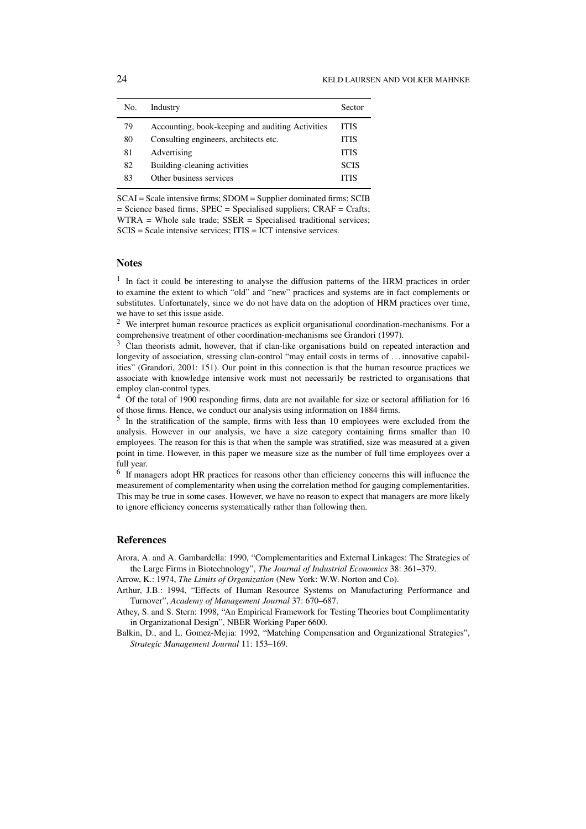| No. | Industry                                         | Sector      |
|-----|--------------------------------------------------|-------------|
| 79  | Accounting, book-keeping and auditing Activities | <b>ITIS</b> |
| 80  | Consulting engineers, architects etc.            | <b>ITIS</b> |
| 81  | Advertising                                      | <b>ITIS</b> |
| 82  | Building-cleaning activities                     | <b>SCIS</b> |
| 83  | Other business services                          | <b>ITIS</b> |
|     |                                                  |             |

SCAI = Scale intensive firms; SDOM = Supplier dominated firms; SCIB = Science based firms; SPEC = Specialised suppliers; CRAF = Crafts; WTRA = Whole sale trade; SSER = Specialised traditional services;  $SCIS = Scale$  intensive services;  $ITIS = ICT$  intensive services.

## **Notes**

<sup>1</sup> In fact it could be interesting to analyse the diffusion patterns of the HRM practices in order to examine the extent to which "old" and "new" practices and systems are in fact complements or substitutes. Unfortunately, since we do not have data on the adoption of HRM practices over time, we have to set this issue aside.

<sup>2</sup> We interpret human resource practices as explicit organisational coordination-mechanisms. For a comprehensive treatment of other coordination-mechanisms see Grandori (1997).

<sup>3</sup> Clan theorists admit, however, that if clan-like organisations build on repeated interaction and longevity of association, stressing clan-control "may entail costs in terms of ... innovative capabilities" (Grandori, 2001: 151). Our point in this connection is that the human resource practices we associate with knowledge intensive work must not necessarily be restricted to organisations that employ clan-control types.

<sup>4</sup> Of the total of 1900 responding firms, data are not available for size or sectoral affiliation for 16 of those firms. Hence, we conduct our analysis using information on 1884 firms.

<sup>5</sup> In the stratification of the sample, firms with less than 10 employees were excluded from the analysis. However in our analysis, we have a size category containing firms smaller than 10 employees. The reason for this is that when the sample was stratified, size was measured at a given point in time. However, in this paper we measure size as the number of full time employees over a full year.

<sup>6</sup> If managers adopt HR practices for reasons other than efficiency concerns this will influence the measurement of complementarity when using the correlation method for gauging complementarities. This may be true in some cases. However, we have no reason to expect that managers are more likely to ignore efficiency concerns systematically rather than following then.

## **References**

Arora, A. and A. Gambardella: 1990, "Complementarities and External Linkages: The Strategies of the Large Firms in Biotechnology", *The Journal of Industrial Economics* 38: 361–379.

Arrow, K.: 1974, *The Limits of Organization* (New York: W.W. Norton and Co).

Arthur, J.B.: 1994, "Effects of Human Resource Systems on Manufacturing Performance and Turnover", *Academy of Management Journal* 37: 670–687.

Athey, S. and S. Stern: 1998, "An Empirical Framework for Testing Theories bout Complimentarity in Organizational Design", NBER Working Paper 6600.

Balkin, D., and L. Gomez-Mejia: 1992, "Matching Compensation and Organizational Strategies", *Strategic Management Journal* 11: 153–169.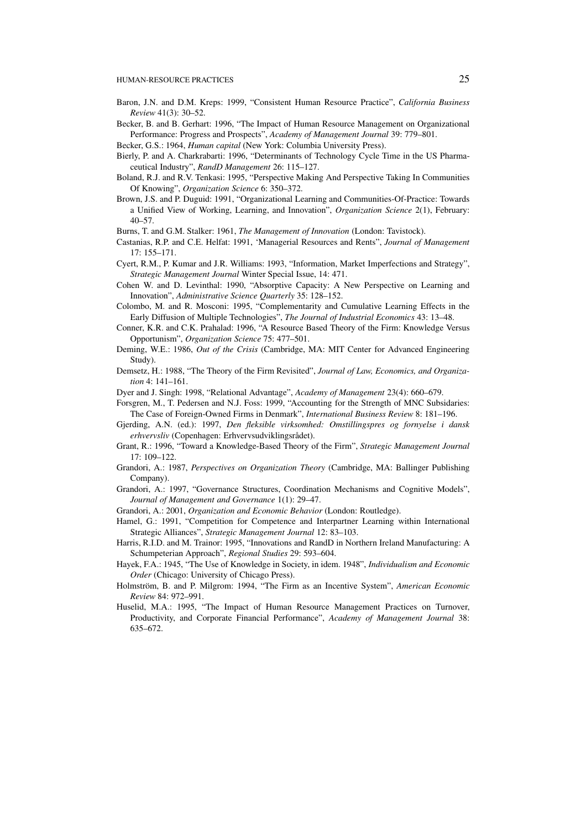- Baron, J.N. and D.M. Kreps: 1999, "Consistent Human Resource Practice", *California Business Review* 41(3): 30–52.
- Becker, B. and B. Gerhart: 1996, "The Impact of Human Resource Management on Organizational Performance: Progress and Prospects", *Academy of Management Journal* 39: 779–801.

Becker, G.S.: 1964, *Human capital* (New York: Columbia University Press).

- Bierly, P. and A. Charkrabarti: 1996, "Determinants of Technology Cycle Time in the US Pharmaceutical Industry", *RandD Management* 26: 115–127.
- Boland, R.J. and R.V. Tenkasi: 1995, "Perspective Making And Perspective Taking In Communities Of Knowing", *Organization Science* 6: 350–372.
- Brown, J.S. and P. Duguid: 1991, "Organizational Learning and Communities-Of-Practice: Towards a Unified View of Working, Learning, and Innovation", *Organization Science* 2(1), February: 40–57.
- Burns, T. and G.M. Stalker: 1961, *The Management of Innovation* (London: Tavistock).
- Castanias, R.P. and C.E. Helfat: 1991, 'Managerial Resources and Rents", *Journal of Management* 17: 155–171.
- Cyert, R.M., P. Kumar and J.R. Williams: 1993, "Information, Market Imperfections and Strategy", *Strategic Management Journal* Winter Special Issue, 14: 471.
- Cohen W. and D. Levinthal: 1990, "Absorptive Capacity: A New Perspective on Learning and Innovation", *Administrative Science Quarterly* 35: 128–152.
- Colombo, M. and R. Mosconi: 1995, "Complementarity and Cumulative Learning Effects in the Early Diffusion of Multiple Technologies", *The Journal of Industrial Economics* 43: 13–48.
- Conner, K.R. and C.K. Prahalad: 1996, "A Resource Based Theory of the Firm: Knowledge Versus Opportunism", *Organization Science* 75: 477–501.
- Deming, W.E.: 1986, *Out of the Crisis* (Cambridge, MA: MIT Center for Advanced Engineering Study).
- Demsetz, H.: 1988, "The Theory of the Firm Revisited", *Journal of Law, Economics, and Organization* 4: 141–161.
- Dyer and J. Singh: 1998, "Relational Advantage", *Academy of Management* 23(4): 660–679.
- Forsgren, M., T. Pedersen and N.J. Foss: 1999, "Accounting for the Strength of MNC Subsidaries: The Case of Foreign-Owned Firms in Denmark", *International Business Review* 8: 181–196.
- Gjerding, A.N. (ed.): 1997, *Den fleksible virksomhed: Omstillingspres og fornyelse i dansk erhvervsliv* (Copenhagen: Erhvervsudviklingsrådet).
- Grant, R.: 1996, "Toward a Knowledge-Based Theory of the Firm", *Strategic Management Journal* 17: 109–122.
- Grandori, A.: 1987, *Perspectives on Organization Theory* (Cambridge, MA: Ballinger Publishing Company).
- Grandori, A.: 1997, "Governance Structures, Coordination Mechanisms and Cognitive Models", *Journal of Management and Governance* 1(1): 29–47.
- Grandori, A.: 2001, *Organization and Economic Behavior* (London: Routledge).
- Hamel, G.: 1991, "Competition for Competence and Interpartner Learning within International Strategic Alliances", *Strategic Management Journal* 12: 83–103.
- Harris, R.I.D. and M. Trainor: 1995, "Innovations and RandD in Northern Ireland Manufacturing: A Schumpeterian Approach", *Regional Studies* 29: 593–604.
- Hayek, F.A.: 1945, "The Use of Knowledge in Society, in idem. 1948", *Individualism and Economic Order* (Chicago: University of Chicago Press).
- Holmström, B. and P. Milgrom: 1994, "The Firm as an Incentive System", *American Economic Review* 84: 972–991.
- Huselid, M.A.: 1995, "The Impact of Human Resource Management Practices on Turnover, Productivity, and Corporate Financial Performance", *Academy of Management Journal* 38: 635–672.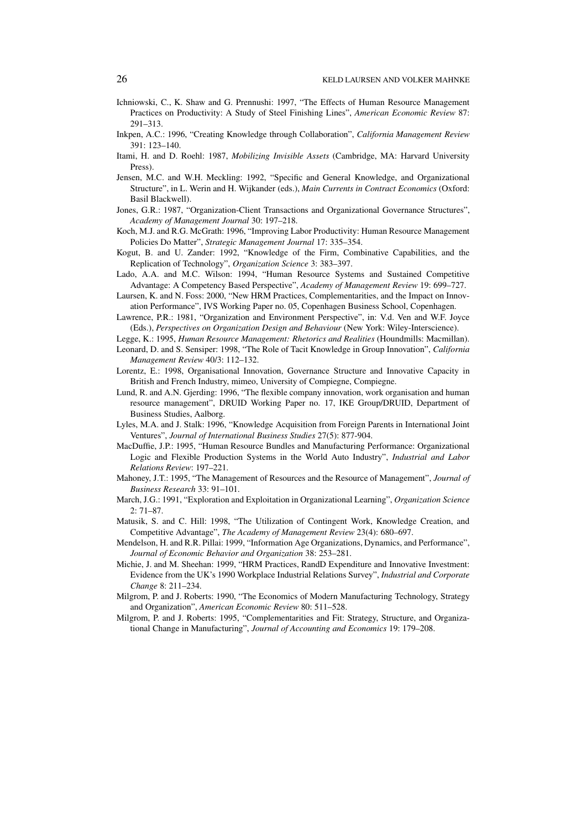- Ichniowski, C., K. Shaw and G. Prennushi: 1997, "The Effects of Human Resource Management Practices on Productivity: A Study of Steel Finishing Lines", *American Economic Review* 87: 291–313.
- Inkpen, A.C.: 1996, "Creating Knowledge through Collaboration", *California Management Review* 391: 123–140.
- Itami, H. and D. Roehl: 1987, *Mobilizing Invisible Assets* (Cambridge, MA: Harvard University Press).
- Jensen, M.C. and W.H. Meckling: 1992, "Specific and General Knowledge, and Organizational Structure", in L. Werin and H. Wijkander (eds.), *Main Currents in Contract Economics* (Oxford: Basil Blackwell).
- Jones, G.R.: 1987, "Organization-Client Transactions and Organizational Governance Structures", *Academy of Management Journal* 30: 197–218.
- Koch, M.J. and R.G. McGrath: 1996, "Improving Labor Productivity: Human Resource Management Policies Do Matter", *Strategic Management Journal* 17: 335–354.
- Kogut, B. and U. Zander: 1992, "Knowledge of the Firm, Combinative Capabilities, and the Replication of Technology", *Organization Science* 3: 383–397.
- Lado, A.A. and M.C. Wilson: 1994, "Human Resource Systems and Sustained Competitive Advantage: A Competency Based Perspective", *Academy of Management Review* 19: 699–727.
- Laursen, K. and N. Foss: 2000, "New HRM Practices, Complementarities, and the Impact on Innovation Performance", IVS Working Paper no. 05, Copenhagen Business School, Copenhagen.
- Lawrence, P.R.: 1981, "Organization and Environment Perspective", in: V.d. Ven and W.F. Joyce (Eds.), *Perspectives on Organization Design and Behaviour* (New York: Wiley-Interscience).
- Legge, K.: 1995, *Human Resource Management: Rhetorics and Realities* (Houndmills: Macmillan).
- Leonard, D. and S. Sensiper: 1998, "The Role of Tacit Knowledge in Group Innovation", *California Management Review* 40/3: 112–132.
- Lorentz, E.: 1998, Organisational Innovation, Governance Structure and Innovative Capacity in British and French Industry, mimeo, University of Compiegne, Compiegne.
- Lund, R. and A.N. Gjerding: 1996, "The flexible company innovation, work organisation and human resource management", DRUID Working Paper no. 17, IKE Group/DRUID, Department of Business Studies, Aalborg.
- Lyles, M.A. and J. Stalk: 1996, "Knowledge Acquisition from Foreign Parents in International Joint Ventures", *Journal of International Business Studies* 27(5): 877-904.
- MacDuffie, J.P.: 1995, "Human Resource Bundles and Manufacturing Performance: Organizational Logic and Flexible Production Systems in the World Auto Industry", *Industrial and Labor Relations Review*: 197–221.
- Mahoney, J.T.: 1995, "The Management of Resources and the Resource of Management", *Journal of Business Research* 33: 91–101.
- March, J.G.: 1991, "Exploration and Exploitation in Organizational Learning", *Organization Science* 2: 71–87.
- Matusik, S. and C. Hill: 1998, "The Utilization of Contingent Work, Knowledge Creation, and Competitive Advantage", *The Academy of Management Review* 23(4): 680–697.
- Mendelson, H. and R.R. Pillai: 1999, "Information Age Organizations, Dynamics, and Performance", *Journal of Economic Behavior and Organization* 38: 253–281.
- Michie, J. and M. Sheehan: 1999, "HRM Practices, RandD Expenditure and Innovative Investment: Evidence from the UK's 1990 Workplace Industrial Relations Survey", *Industrial and Corporate Change* 8: 211–234.
- Milgrom, P. and J. Roberts: 1990, "The Economics of Modern Manufacturing Technology, Strategy and Organization", *American Economic Review* 80: 511–528.
- Milgrom, P. and J. Roberts: 1995, "Complementarities and Fit: Strategy, Structure, and Organizational Change in Manufacturing", *Journal of Accounting and Economics* 19: 179–208.